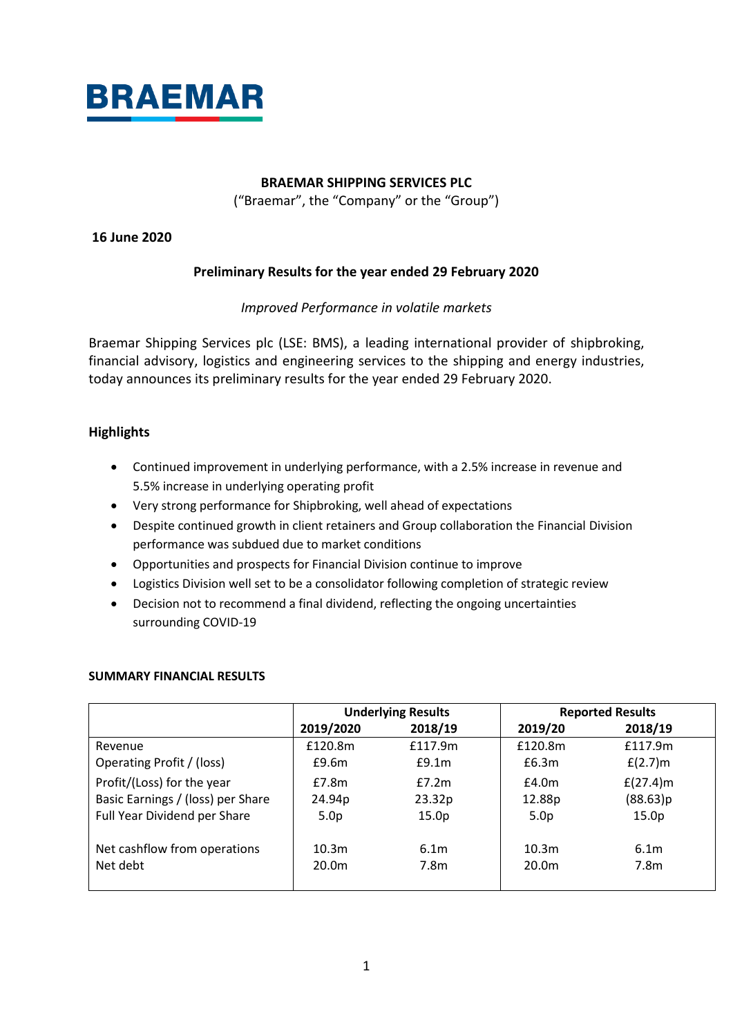

# **BRAEMAR SHIPPING SERVICES PLC**

("Braemar", the "Company" or the "Group")

# **16 June 2020**

# **Preliminary Results for the year ended 29 February 2020**

# *Improved Performance in volatile markets*

Braemar Shipping Services plc (LSE: BMS), a leading international provider of shipbroking, financial advisory, logistics and engineering services to the shipping and energy industries, today announces its preliminary results for the year ended 29 February 2020.

# **Highlights**

- Continued improvement in underlying performance, with a 2.5% increase in revenue and 5.5% increase in underlying operating profit
- Very strong performance for Shipbroking, well ahead of expectations
- Despite continued growth in client retainers and Group collaboration the Financial Division performance was subdued due to market conditions
- Opportunities and prospects for Financial Division continue to improve
- Logistics Division well set to be a consolidator following completion of strategic review
- Decision not to recommend a final dividend, reflecting the ongoing uncertainties surrounding COVID-19

# **SUMMARY FINANCIAL RESULTS**

|                                   | <b>Underlying Results</b> |                   |                   | <b>Reported Results</b> |
|-----------------------------------|---------------------------|-------------------|-------------------|-------------------------|
|                                   | 2019/2020                 | 2018/19           | 2019/20           | 2018/19                 |
| Revenue                           | £120.8m                   | £117.9m           | £120.8m           | £117.9m                 |
| Operating Profit / (loss)         | E9.6m                     | E9.1m             | £6.3m             | $f(2.7)$ m              |
| Profit/(Loss) for the year        | £7.8m                     | f7.2m             | E4.0m             | $f(27.4)$ m             |
| Basic Earnings / (loss) per Share | 24.94p                    | 23.32p            | 12.88p            | (88.63)p                |
| Full Year Dividend per Share      | 5.0 <sub>p</sub>          | 15.0 <sub>p</sub> | 5.0 <sub>p</sub>  | 15.0 <sub>p</sub>       |
|                                   |                           |                   |                   |                         |
| Net cashflow from operations      | 10.3 <sub>m</sub>         | 6.1 <sub>m</sub>  | 10.3 <sub>m</sub> | 6.1 <sub>m</sub>        |
| Net debt                          | 20.0 <sub>m</sub>         | 7.8m              | 20.0m             | 7.8m                    |
|                                   |                           |                   |                   |                         |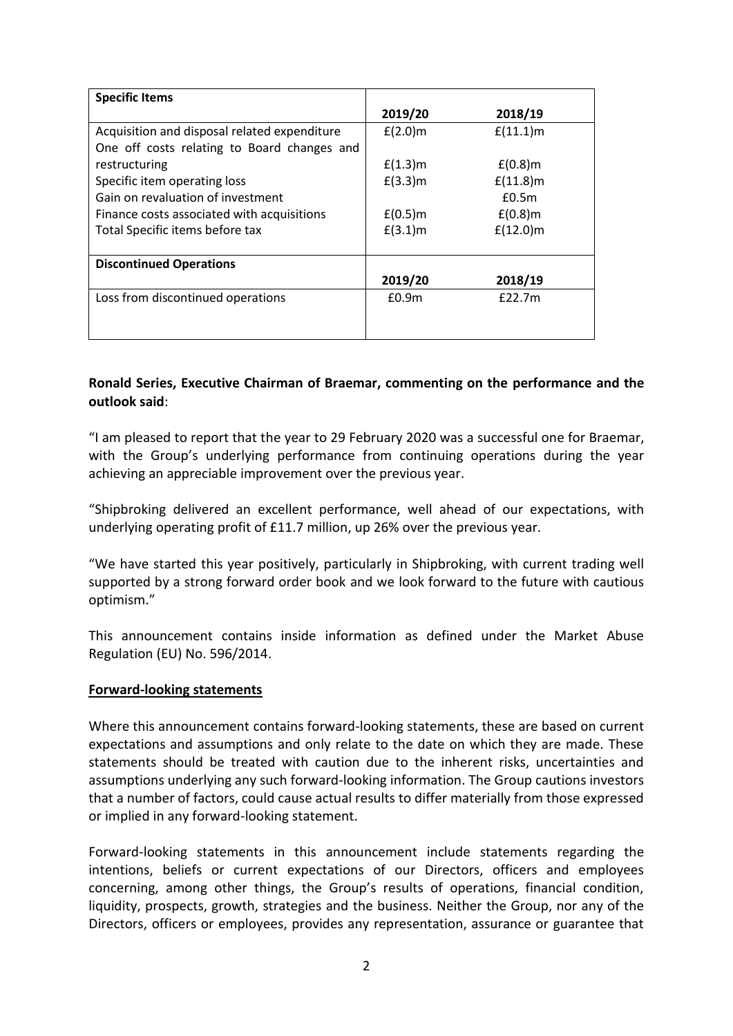| <b>Specific Items</b>                        |                   |             |
|----------------------------------------------|-------------------|-------------|
|                                              | 2019/20           | 2018/19     |
| Acquisition and disposal related expenditure | $f(2.0)$ m        | $f(11.1)$ m |
| One off costs relating to Board changes and  |                   |             |
| restructuring                                | $f(1.3)$ m        | $E(0.8)$ m  |
| Specific item operating loss                 | $f(3.3)$ m        | $f(11.8)$ m |
| Gain on revaluation of investment            |                   | £0.5m       |
| Finance costs associated with acquisitions   | $f(0.5)$ m        | $f(0.8)$ m  |
| Total Specific items before tax              | $f(3.1)$ m        | $f(12.0)$ m |
|                                              |                   |             |
| <b>Discontinued Operations</b>               |                   |             |
|                                              | 2019/20           | 2018/19     |
| Loss from discontinued operations            | £0.9 <sub>m</sub> | f22.7m      |
|                                              |                   |             |
|                                              |                   |             |

# **Ronald Series, Executive Chairman of Braemar, commenting on the performance and the outlook said**:

"I am pleased to report that the year to 29 February 2020 was a successful one for Braemar, with the Group's underlying performance from continuing operations during the year achieving an appreciable improvement over the previous year.

"Shipbroking delivered an excellent performance, well ahead of our expectations, with underlying operating profit of £11.7 million, up 26% over the previous year.

"We have started this year positively, particularly in Shipbroking, with current trading well supported by a strong forward order book and we look forward to the future with cautious optimism."

This announcement contains inside information as defined under the Market Abuse Regulation (EU) No. 596/2014.

# **Forward-looking statements**

Where this announcement contains forward-looking statements, these are based on current expectations and assumptions and only relate to the date on which they are made. These statements should be treated with caution due to the inherent risks, uncertainties and assumptions underlying any such forward-looking information. The Group cautions investors that a number of factors, could cause actual results to differ materially from those expressed or implied in any forward-looking statement.

Forward-looking statements in this announcement include statements regarding the intentions, beliefs or current expectations of our Directors, officers and employees concerning, among other things, the Group's results of operations, financial condition, liquidity, prospects, growth, strategies and the business. Neither the Group, nor any of the Directors, officers or employees, provides any representation, assurance or guarantee that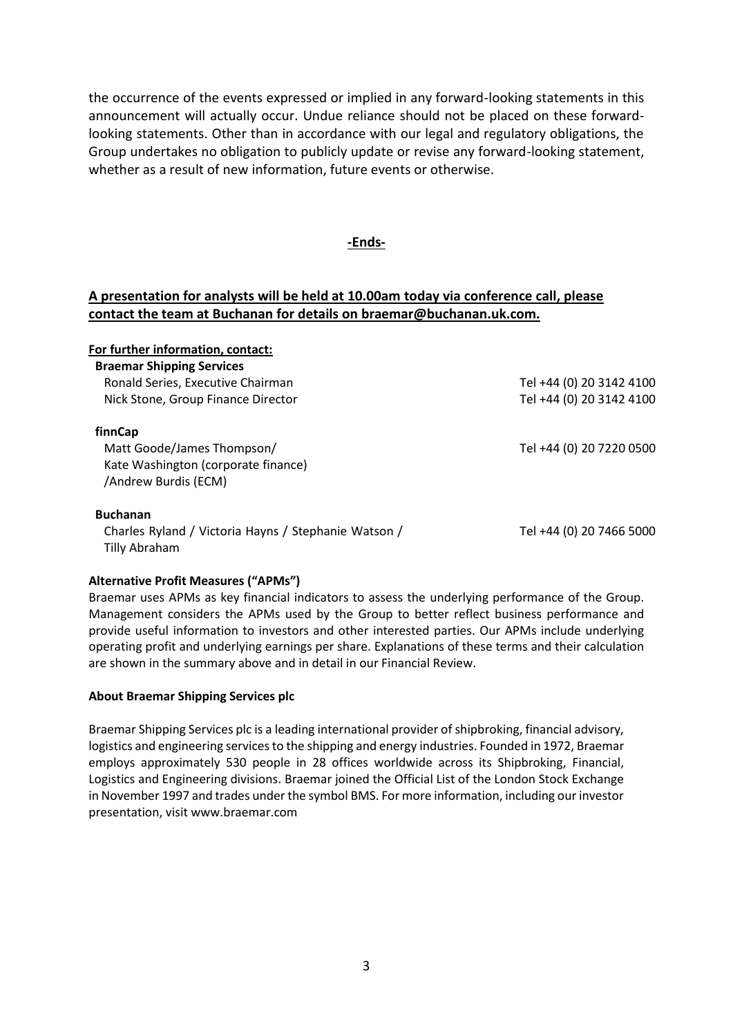the occurrence of the events expressed or implied in any forward-looking statements in this announcement will actually occur. Undue reliance should not be placed on these forwardlooking statements. Other than in accordance with our legal and regulatory obligations, the Group undertakes no obligation to publicly update or revise any forward-looking statement, whether as a result of new information, future events or otherwise.

# **-Ends-**

# **A presentation for analysts will be held at 10.00am today via conference call, please contact the team at Buchanan for details on braemar@buchanan.uk.com.**

| For further information, contact:                    |                          |
|------------------------------------------------------|--------------------------|
| <b>Braemar Shipping Services</b>                     |                          |
| Ronald Series, Executive Chairman                    | Tel +44 (0) 20 3142 4100 |
| Nick Stone, Group Finance Director                   | Tel +44 (0) 20 3142 4100 |
| finnCap                                              |                          |
| Matt Goode/James Thompson/                           | Tel +44 (0) 20 7220 0500 |
| Kate Washington (corporate finance)                  |                          |
| /Andrew Burdis (ECM)                                 |                          |
| <b>Buchanan</b>                                      |                          |
| Charles Ryland / Victoria Hayns / Stephanie Watson / | Tel +44 (0) 20 7466 5000 |
| Tilly Abraham                                        |                          |
|                                                      |                          |

# **Alternative Profit Measures ("APMs")**

Braemar uses APMs as key financial indicators to assess the underlying performance of the Group. Management considers the APMs used by the Group to better reflect business performance and provide useful information to investors and other interested parties. Our APMs include underlying operating profit and underlying earnings per share. Explanations of these terms and their calculation are shown in the summary above and in detail in our Financial Review.

# **About Braemar Shipping Services plc**

Braemar Shipping Services plc is a leading international provider of shipbroking, financial advisory, logistics and engineering services to the shipping and energy industries. Founded in 1972, Braemar employs approximately 530 people in 28 offices worldwide across its Shipbroking, Financial, Logistics and Engineering divisions. Braemar joined the Official List of the London Stock Exchange in November 1997 and trades under the symbol BMS. For more information, including our investor presentation, visit www.braemar.com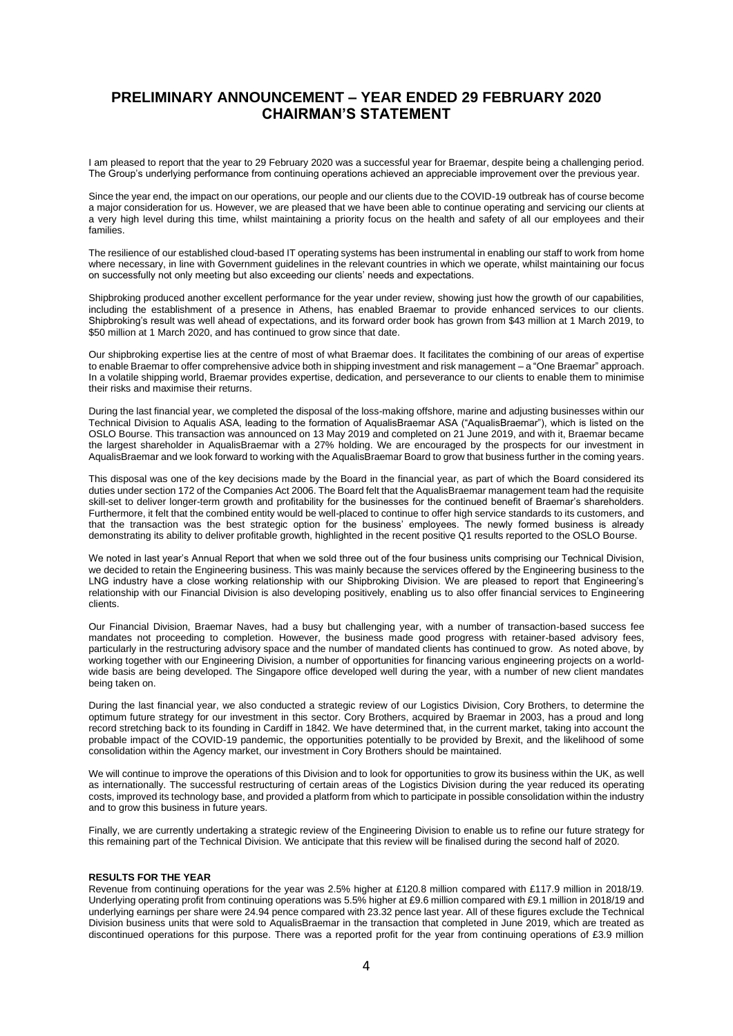# **PRELIMINARY ANNOUNCEMENT – YEAR ENDED 29 FEBRUARY 2020 CHAIRMAN'S STATEMENT**

I am pleased to report that the year to 29 February 2020 was a successful year for Braemar, despite being a challenging period. The Group's underlying performance from continuing operations achieved an appreciable improvement over the previous year.

Since the year end, the impact on our operations, our people and our clients due to the COVID-19 outbreak has of course become a major consideration for us. However, we are pleased that we have been able to continue operating and servicing our clients at a very high level during this time, whilst maintaining a priority focus on the health and safety of all our employees and their families.

The resilience of our established cloud-based IT operating systems has been instrumental in enabling our staff to work from home where necessary, in line with Government guidelines in the relevant countries in which we operate, whilst maintaining our focus on successfully not only meeting but also exceeding our clients' needs and expectations.

Shipbroking produced another excellent performance for the year under review, showing just how the growth of our capabilities, including the establishment of a presence in Athens, has enabled Braemar to provide enhanced services to our clients. Shipbroking's result was well ahead of expectations, and its forward order book has grown from \$43 million at 1 March 2019, to \$50 million at 1 March 2020, and has continued to grow since that date.

Our shipbroking expertise lies at the centre of most of what Braemar does. It facilitates the combining of our areas of expertise to enable Braemar to offer comprehensive advice both in shipping investment and risk management – a "One Braemar" approach. In a volatile shipping world, Braemar provides expertise, dedication, and perseverance to our clients to enable them to minimise their risks and maximise their returns.

During the last financial year, we completed the disposal of the loss-making offshore, marine and adjusting businesses within our Technical Division to Aqualis ASA, leading to the formation of AqualisBraemar ASA ("AqualisBraemar"), which is listed on the OSLO Bourse. This transaction was announced on 13 May 2019 and completed on 21 June 2019, and with it, Braemar became the largest shareholder in AqualisBraemar with a 27% holding. We are encouraged by the prospects for our investment in AqualisBraemar and we look forward to working with the AqualisBraemar Board to grow that business further in the coming years.

This disposal was one of the key decisions made by the Board in the financial year, as part of which the Board considered its duties under section 172 of the Companies Act 2006. The Board felt that the AqualisBraemar management team had the requisite skill-set to deliver longer-term growth and profitability for the businesses for the continued benefit of Braemar's shareholders. Furthermore, it felt that the combined entity would be well-placed to continue to offer high service standards to its customers, and that the transaction was the best strategic option for the business' employees. The newly formed business is already demonstrating its ability to deliver profitable growth, highlighted in the recent positive Q1 results reported to the OSLO Bourse.

We noted in last year's Annual Report that when we sold three out of the four business units comprising our Technical Division, we decided to retain the Engineering business. This was mainly because the services offered by the Engineering business to the LNG industry have a close working relationship with our Shipbroking Division. We are pleased to report that Engineering's relationship with our Financial Division is also developing positively, enabling us to also offer financial services to Engineering clients.

Our Financial Division, Braemar Naves, had a busy but challenging year, with a number of transaction-based success fee mandates not proceeding to completion. However, the business made good progress with retainer-based advisory fees, particularly in the restructuring advisory space and the number of mandated clients has continued to grow. As noted above, by working together with our Engineering Division, a number of opportunities for financing various engineering projects on a worldwide basis are being developed. The Singapore office developed well during the year, with a number of new client mandates being taken on.

During the last financial year, we also conducted a strategic review of our Logistics Division, Cory Brothers, to determine the optimum future strategy for our investment in this sector. Cory Brothers, acquired by Braemar in 2003, has a proud and long record stretching back to its founding in Cardiff in 1842. We have determined that, in the current market, taking into account the probable impact of the COVID-19 pandemic, the opportunities potentially to be provided by Brexit, and the likelihood of some consolidation within the Agency market, our investment in Cory Brothers should be maintained.

We will continue to improve the operations of this Division and to look for opportunities to grow its business within the UK, as well as internationally. The successful restructuring of certain areas of the Logistics Division during the year reduced its operating costs, improved its technology base, and provided a platform from which to participate in possible consolidation within the industry and to grow this business in future years.

Finally, we are currently undertaking a strategic review of the Engineering Division to enable us to refine our future strategy for this remaining part of the Technical Division. We anticipate that this review will be finalised during the second half of 2020.

#### **RESULTS FOR THE YEAR**

Revenue from continuing operations for the year was 2.5% higher at £120.8 million compared with £117.9 million in 2018/19. Underlying operating profit from continuing operations was 5.5% higher at £9.6 million compared with £9.1 million in 2018/19 and underlying earnings per share were 24.94 pence compared with 23.32 pence last year. All of these figures exclude the Technical Division business units that were sold to AqualisBraemar in the transaction that completed in June 2019, which are treated as discontinued operations for this purpose. There was a reported profit for the year from continuing operations of £3.9 million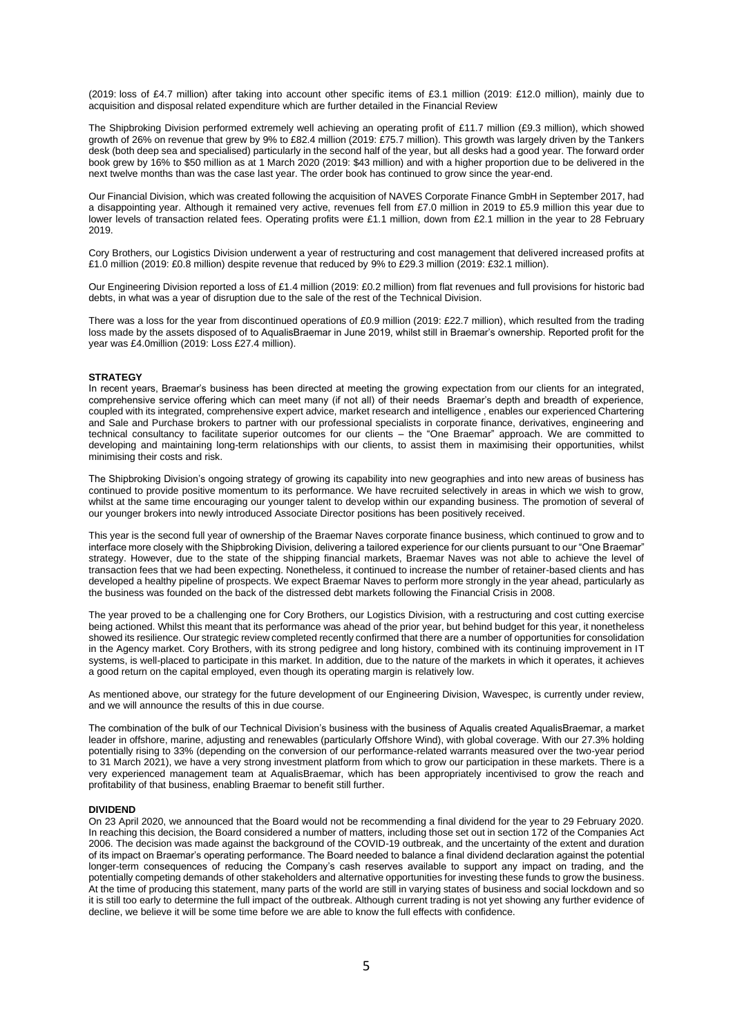(2019: loss of £4.7 million) after taking into account other specific items of £3.1 million (2019: £12.0 million), mainly due to acquisition and disposal related expenditure which are further detailed in the Financial Review

The Shipbroking Division performed extremely well achieving an operating profit of £11.7 million (£9.3 million), which showed growth of 26% on revenue that grew by 9% to £82.4 million (2019: £75.7 million). This growth was largely driven by the Tankers desk (both deep sea and specialised) particularly in the second half of the year, but all desks had a good year. The forward order book grew by 16% to \$50 million as at 1 March 2020 (2019: \$43 million) and with a higher proportion due to be delivered in the next twelve months than was the case last year. The order book has continued to grow since the year-end.

Our Financial Division, which was created following the acquisition of NAVES Corporate Finance GmbH in September 2017, had a disappointing year. Although it remained very active, revenues fell from £7.0 million in 2019 to £5.9 million this year due to lower levels of transaction related fees. Operating profits were £1.1 million, down from £2.1 million in the year to 28 February 2019.

Cory Brothers, our Logistics Division underwent a year of restructuring and cost management that delivered increased profits at £1.0 million (2019: £0.8 million) despite revenue that reduced by 9% to £29.3 million (2019: £32.1 million).

Our Engineering Division reported a loss of £1.4 million (2019: £0.2 million) from flat revenues and full provisions for historic bad debts, in what was a year of disruption due to the sale of the rest of the Technical Division.

There was a loss for the year from discontinued operations of £0.9 million (2019: £22.7 million), which resulted from the trading loss made by the assets disposed of to AqualisBraemar in June 2019, whilst still in Braemar's ownership. Reported profit for the year was £4.0million (2019: Loss £27.4 million).

#### **STRATEGY**

In recent years, Braemar's business has been directed at meeting the growing expectation from our clients for an integrated, comprehensive service offering which can meet many (if not all) of their needs Braemar's depth and breadth of experience, coupled with its integrated, comprehensive expert advice, market research and intelligence , enables our experienced Chartering and Sale and Purchase brokers to partner with our professional specialists in corporate finance, derivatives, engineering and technical consultancy to facilitate superior outcomes for our clients – the "One Braemar" approach. We are committed to developing and maintaining long-term relationships with our clients, to assist them in maximising their opportunities, whilst minimising their costs and risk.

The Shipbroking Division's ongoing strategy of growing its capability into new geographies and into new areas of business has continued to provide positive momentum to its performance. We have recruited selectively in areas in which we wish to grow, whilst at the same time encouraging our younger talent to develop within our expanding business. The promotion of several of our younger brokers into newly introduced Associate Director positions has been positively received.

This year is the second full year of ownership of the Braemar Naves corporate finance business, which continued to grow and to interface more closely with the Shipbroking Division, delivering a tailored experience for our clients pursuant to our "One Braemar" strategy. However, due to the state of the shipping financial markets, Braemar Naves was not able to achieve the level of transaction fees that we had been expecting. Nonetheless, it continued to increase the number of retainer-based clients and has developed a healthy pipeline of prospects. We expect Braemar Naves to perform more strongly in the year ahead, particularly as the business was founded on the back of the distressed debt markets following the Financial Crisis in 2008.

The year proved to be a challenging one for Cory Brothers, our Logistics Division, with a restructuring and cost cutting exercise being actioned. Whilst this meant that its performance was ahead of the prior year, but behind budget for this year, it nonetheless showed its resilience. Our strategic review completed recently confirmed that there are a number of opportunities for consolidation in the Agency market. Cory Brothers, with its strong pedigree and long history, combined with its continuing improvement in IT systems, is well-placed to participate in this market. In addition, due to the nature of the markets in which it operates, it achieves a good return on the capital employed, even though its operating margin is relatively low.

As mentioned above, our strategy for the future development of our Engineering Division, Wavespec, is currently under review, and we will announce the results of this in due course.

The combination of the bulk of our Technical Division's business with the business of Aqualis created AqualisBraemar, a market leader in offshore, marine, adjusting and renewables (particularly Offshore Wind), with global coverage. With our 27.3% holding potentially rising to 33% (depending on the conversion of our performance-related warrants measured over the two-year period to 31 March 2021), we have a very strong investment platform from which to grow our participation in these markets. There is a very experienced management team at AqualisBraemar, which has been appropriately incentivised to grow the reach and profitability of that business, enabling Braemar to benefit still further.

#### **DIVIDEND**

On 23 April 2020, we announced that the Board would not be recommending a final dividend for the year to 29 February 2020. In reaching this decision, the Board considered a number of matters, including those set out in section 172 of the Companies Act 2006. The decision was made against the background of the COVID-19 outbreak, and the uncertainty of the extent and duration of its impact on Braemar's operating performance. The Board needed to balance a final dividend declaration against the potential longer-term consequences of reducing the Company's cash reserves available to support any impact on trading, and the potentially competing demands of other stakeholders and alternative opportunities for investing these funds to grow the business. At the time of producing this statement, many parts of the world are still in varying states of business and social lockdown and so it is still too early to determine the full impact of the outbreak. Although current trading is not yet showing any further evidence of decline, we believe it will be some time before we are able to know the full effects with confidence.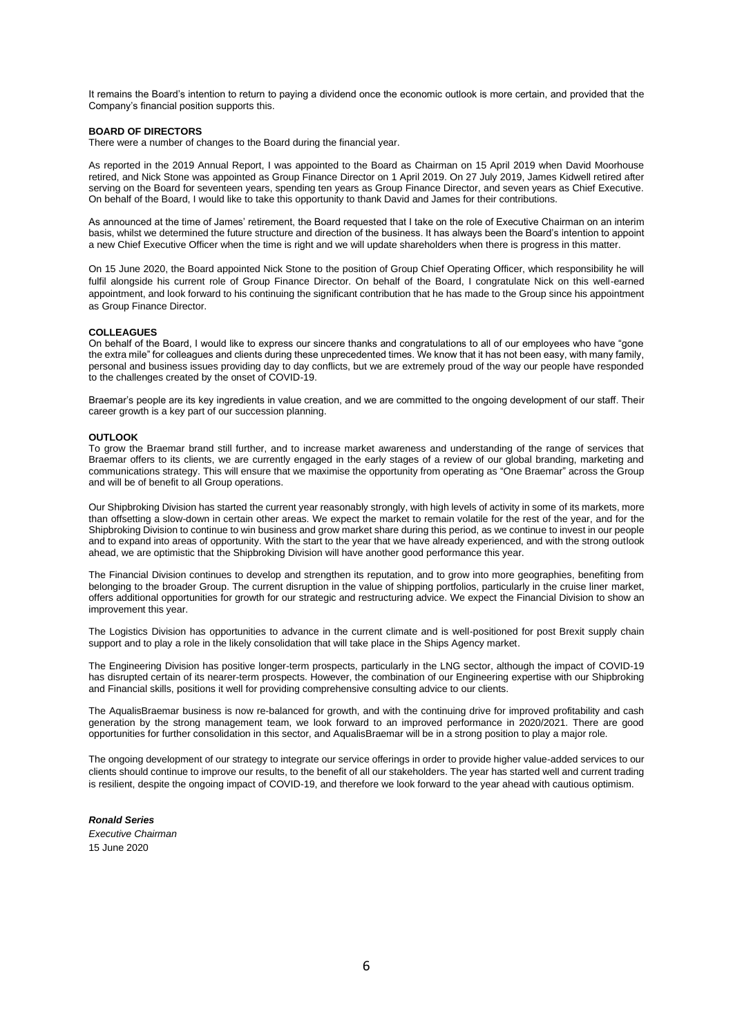It remains the Board's intention to return to paying a dividend once the economic outlook is more certain, and provided that the Company's financial position supports this.

#### **BOARD OF DIRECTORS**

There were a number of changes to the Board during the financial year.

As reported in the 2019 Annual Report, I was appointed to the Board as Chairman on 15 April 2019 when David Moorhouse retired, and Nick Stone was appointed as Group Finance Director on 1 April 2019. On 27 July 2019, James Kidwell retired after serving on the Board for seventeen years, spending ten years as Group Finance Director, and seven years as Chief Executive. On behalf of the Board, I would like to take this opportunity to thank David and James for their contributions.

As announced at the time of James' retirement, the Board requested that I take on the role of Executive Chairman on an interim basis, whilst we determined the future structure and direction of the business. It has always been the Board's intention to appoint a new Chief Executive Officer when the time is right and we will update shareholders when there is progress in this matter.

On 15 June 2020, the Board appointed Nick Stone to the position of Group Chief Operating Officer, which responsibility he will fulfil alongside his current role of Group Finance Director. On behalf of the Board, I congratulate Nick on this well-earned appointment, and look forward to his continuing the significant contribution that he has made to the Group since his appointment as Group Finance Director.

#### **COLLEAGUES**

On behalf of the Board, I would like to express our sincere thanks and congratulations to all of our employees who have "gone the extra mile" for colleagues and clients during these unprecedented times. We know that it has not been easy, with many family, personal and business issues providing day to day conflicts, but we are extremely proud of the way our people have responded to the challenges created by the onset of COVID-19.

Braemar's people are its key ingredients in value creation, and we are committed to the ongoing development of our staff. Their career growth is a key part of our succession planning.

#### **OUTLOOK**

To grow the Braemar brand still further, and to increase market awareness and understanding of the range of services that Braemar offers to its clients, we are currently engaged in the early stages of a review of our global branding, marketing and communications strategy. This will ensure that we maximise the opportunity from operating as "One Braemar" across the Group and will be of benefit to all Group operations.

Our Shipbroking Division has started the current year reasonably strongly, with high levels of activity in some of its markets, more than offsetting a slow-down in certain other areas. We expect the market to remain volatile for the rest of the year, and for the Shipbroking Division to continue to win business and grow market share during this period, as we continue to invest in our people and to expand into areas of opportunity. With the start to the year that we have already experienced, and with the strong outlook ahead, we are optimistic that the Shipbroking Division will have another good performance this year.

The Financial Division continues to develop and strengthen its reputation, and to grow into more geographies, benefiting from belonging to the broader Group. The current disruption in the value of shipping portfolios, particularly in the cruise liner market, offers additional opportunities for growth for our strategic and restructuring advice. We expect the Financial Division to show an improvement this year.

The Logistics Division has opportunities to advance in the current climate and is well-positioned for post Brexit supply chain support and to play a role in the likely consolidation that will take place in the Ships Agency market.

The Engineering Division has positive longer-term prospects, particularly in the LNG sector, although the impact of COVID-19 has disrupted certain of its nearer-term prospects. However, the combination of our Engineering expertise with our Shipbroking and Financial skills, positions it well for providing comprehensive consulting advice to our clients.

The AqualisBraemar business is now re-balanced for growth, and with the continuing drive for improved profitability and cash generation by the strong management team, we look forward to an improved performance in 2020/2021. There are good opportunities for further consolidation in this sector, and AqualisBraemar will be in a strong position to play a major role.

The ongoing development of our strategy to integrate our service offerings in order to provide higher value-added services to our clients should continue to improve our results, to the benefit of all our stakeholders. The year has started well and current trading is resilient, despite the ongoing impact of COVID-19, and therefore we look forward to the year ahead with cautious optimism.

#### *Ronald Series Executive Chairman* 15 June 2020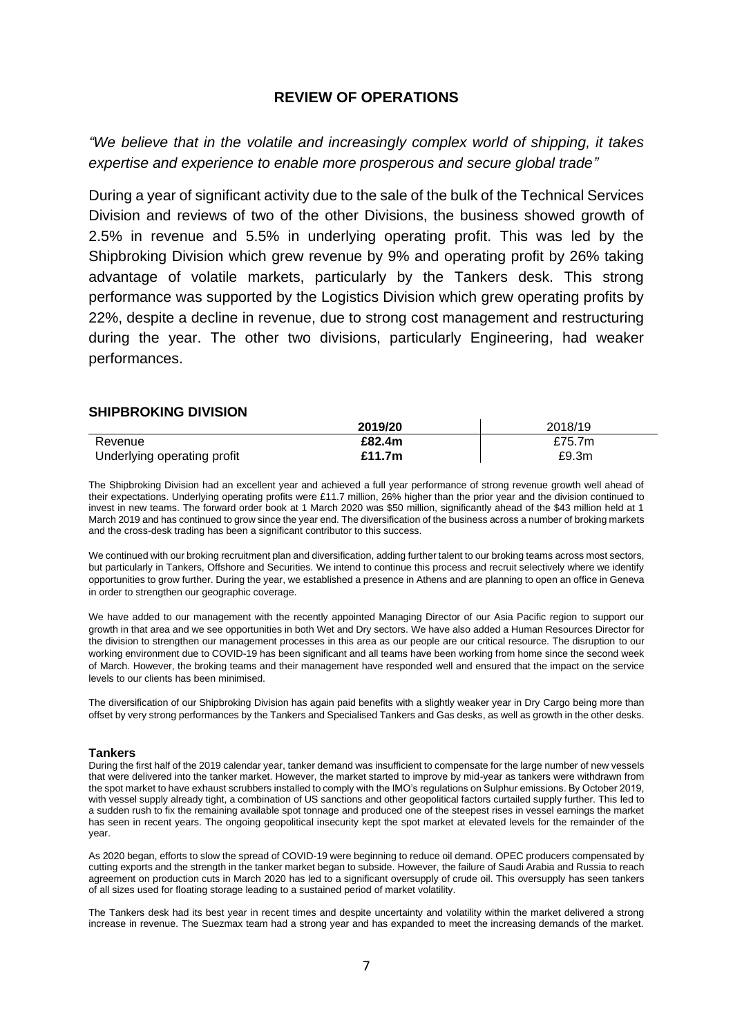# **REVIEW OF OPERATIONS**

*"We believe that in the volatile and increasingly complex world of shipping, it takes expertise and experience to enable more prosperous and secure global trade"*

During a year of significant activity due to the sale of the bulk of the Technical Services Division and reviews of two of the other Divisions, the business showed growth of 2.5% in revenue and 5.5% in underlying operating profit. This was led by the Shipbroking Division which grew revenue by 9% and operating profit by 26% taking advantage of volatile markets, particularly by the Tankers desk. This strong performance was supported by the Logistics Division which grew operating profits by 22%, despite a decline in revenue, due to strong cost management and restructuring during the year. The other two divisions, particularly Engineering, had weaker performances.

# **SHIPBROKING DIVISION**

|                             | 2019/20 | 2018/19 |
|-----------------------------|---------|---------|
| Revenue                     | £82.4m  | £75.7m  |
| Underlying operating profit | £11.7m  | £9.3m   |

The Shipbroking Division had an excellent year and achieved a full year performance of strong revenue growth well ahead of their expectations. Underlying operating profits were £11.7 million, 26% higher than the prior year and the division continued to invest in new teams. The forward order book at 1 March 2020 was \$50 million, significantly ahead of the \$43 million held at 1 March 2019 and has continued to grow since the year end. The diversification of the business across a number of broking markets and the cross-desk trading has been a significant contributor to this success.

We continued with our broking recruitment plan and diversification, adding further talent to our broking teams across most sectors, but particularly in Tankers, Offshore and Securities. We intend to continue this process and recruit selectively where we identify opportunities to grow further. During the year, we established a presence in Athens and are planning to open an office in Geneva in order to strengthen our geographic coverage.

We have added to our management with the recently appointed Managing Director of our Asia Pacific region to support our growth in that area and we see opportunities in both Wet and Dry sectors. We have also added a Human Resources Director for the division to strengthen our management processes in this area as our people are our critical resource. The disruption to our working environment due to COVID-19 has been significant and all teams have been working from home since the second week of March. However, the broking teams and their management have responded well and ensured that the impact on the service levels to our clients has been minimised.

The diversification of our Shipbroking Division has again paid benefits with a slightly weaker year in Dry Cargo being more than offset by very strong performances by the Tankers and Specialised Tankers and Gas desks, as well as growth in the other desks.

#### **Tankers**

During the first half of the 2019 calendar year, tanker demand was insufficient to compensate for the large number of new vessels that were delivered into the tanker market. However, the market started to improve by mid-year as tankers were withdrawn from the spot market to have exhaust scrubbers installed to comply with the IMO's regulations on Sulphur emissions. By October 2019, with vessel supply already tight, a combination of US sanctions and other geopolitical factors curtailed supply further. This led to a sudden rush to fix the remaining available spot tonnage and produced one of the steepest rises in vessel earnings the market has seen in recent years. The ongoing geopolitical insecurity kept the spot market at elevated levels for the remainder of the year.

As 2020 began, efforts to slow the spread of COVID-19 were beginning to reduce oil demand. OPEC producers compensated by cutting exports and the strength in the tanker market began to subside. However, the failure of Saudi Arabia and Russia to reach agreement on production cuts in March 2020 has led to a significant oversupply of crude oil. This oversupply has seen tankers of all sizes used for floating storage leading to a sustained period of market volatility.

The Tankers desk had its best year in recent times and despite uncertainty and volatility within the market delivered a strong increase in revenue. The Suezmax team had a strong year and has expanded to meet the increasing demands of the market.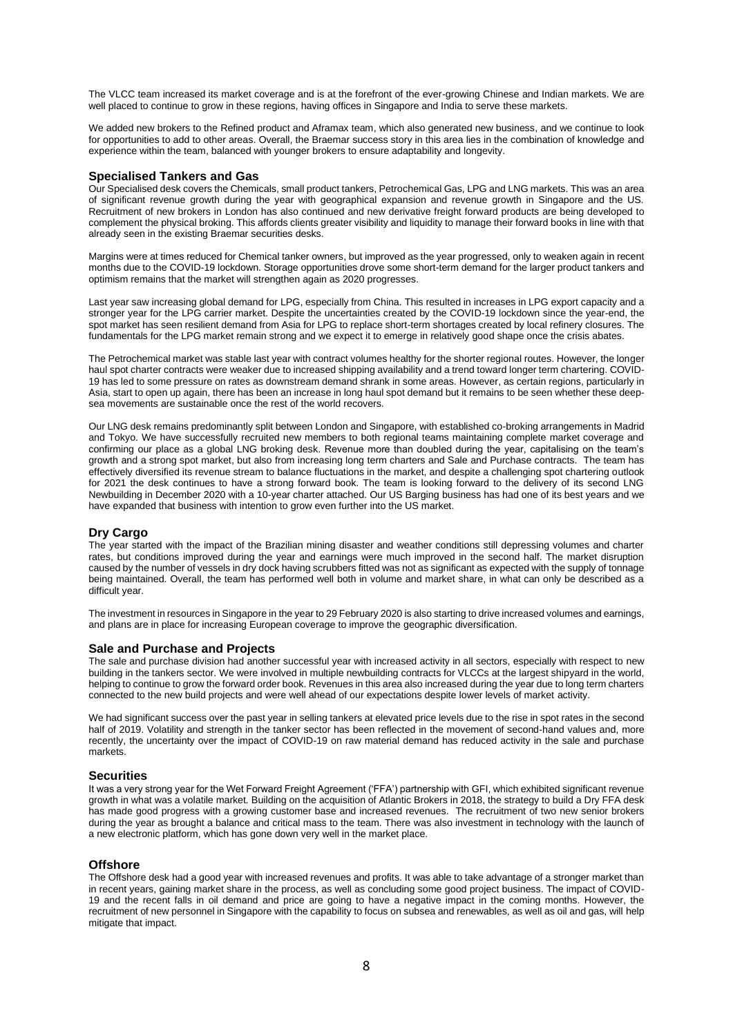The VLCC team increased its market coverage and is at the forefront of the ever-growing Chinese and Indian markets. We are well placed to continue to grow in these regions, having offices in Singapore and India to serve these markets.

We added new brokers to the Refined product and Aframax team, which also generated new business, and we continue to look for opportunities to add to other areas. Overall, the Braemar success story in this area lies in the combination of knowledge and experience within the team, balanced with younger brokers to ensure adaptability and longevity.

#### **Specialised Tankers and Gas**

Our Specialised desk covers the Chemicals, small product tankers, Petrochemical Gas, LPG and LNG markets. This was an area of significant revenue growth during the year with geographical expansion and revenue growth in Singapore and the US. Recruitment of new brokers in London has also continued and new derivative freight forward products are being developed to complement the physical broking. This affords clients greater visibility and liquidity to manage their forward books in line with that already seen in the existing Braemar securities desks.

Margins were at times reduced for Chemical tanker owners, but improved as the year progressed, only to weaken again in recent months due to the COVID-19 lockdown. Storage opportunities drove some short-term demand for the larger product tankers and optimism remains that the market will strengthen again as 2020 progresses.

Last year saw increasing global demand for LPG, especially from China. This resulted in increases in LPG export capacity and a stronger year for the LPG carrier market. Despite the uncertainties created by the COVID-19 lockdown since the year-end, the spot market has seen resilient demand from Asia for LPG to replace short-term shortages created by local refinery closures. The fundamentals for the LPG market remain strong and we expect it to emerge in relatively good shape once the crisis abates.

The Petrochemical market was stable last year with contract volumes healthy for the shorter regional routes. However, the longer haul spot charter contracts were weaker due to increased shipping availability and a trend toward longer term chartering. COVID-19 has led to some pressure on rates as downstream demand shrank in some areas. However, as certain regions, particularly in Asia, start to open up again, there has been an increase in long haul spot demand but it remains to be seen whether these deepsea movements are sustainable once the rest of the world recovers.

Our LNG desk remains predominantly split between London and Singapore, with established co-broking arrangements in Madrid and Tokyo. We have successfully recruited new members to both regional teams maintaining complete market coverage and confirming our place as a global LNG broking desk. Revenue more than doubled during the year, capitalising on the team's growth and a strong spot market, but also from increasing long term charters and Sale and Purchase contracts. The team has effectively diversified its revenue stream to balance fluctuations in the market, and despite a challenging spot chartering outlook for 2021 the desk continues to have a strong forward book. The team is looking forward to the delivery of its second LNG Newbuilding in December 2020 with a 10-year charter attached. Our US Barging business has had one of its best years and we have expanded that business with intention to grow even further into the US market.

#### **Dry Cargo**

The year started with the impact of the Brazilian mining disaster and weather conditions still depressing volumes and charter rates, but conditions improved during the year and earnings were much improved in the second half. The market disruption caused by the number of vessels in dry dock having scrubbers fitted was not as significant as expected with the supply of tonnage being maintained. Overall, the team has performed well both in volume and market share, in what can only be described as a difficult year.

The investment in resources in Singapore in the year to 29 February 2020 is also starting to drive increased volumes and earnings, and plans are in place for increasing European coverage to improve the geographic diversification.

#### **Sale and Purchase and Projects**

The sale and purchase division had another successful year with increased activity in all sectors, especially with respect to new building in the tankers sector. We were involved in multiple newbuilding contracts for VLCCs at the largest shipyard in the world, helping to continue to grow the forward order book. Revenues in this area also increased during the year due to long term charters connected to the new build projects and were well ahead of our expectations despite lower levels of market activity.

We had significant success over the past year in selling tankers at elevated price levels due to the rise in spot rates in the second half of 2019. Volatility and strength in the tanker sector has been reflected in the movement of second-hand values and, more recently, the uncertainty over the impact of COVID-19 on raw material demand has reduced activity in the sale and purchase markets.

#### **Securities**

It was a very strong year for the Wet Forward Freight Agreement ('FFA') partnership with GFI, which exhibited significant revenue growth in what was a volatile market*.* Building on the acquisition of Atlantic Brokers in 2018, the strategy to build a Dry FFA desk has made good progress with a growing customer base and increased revenues. The recruitment of two new senior brokers during the year as brought a balance and critical mass to the team. There was also investment in technology with the launch of a new electronic platform, which has gone down very well in the market place.

#### **Offshore**

The Offshore desk had a good year with increased revenues and profits. It was able to take advantage of a stronger market than in recent years, gaining market share in the process, as well as concluding some good project business. The impact of COVID-19 and the recent falls in oil demand and price are going to have a negative impact in the coming months. However, the recruitment of new personnel in Singapore with the capability to focus on subsea and renewables, as well as oil and gas, will help mitigate that impact.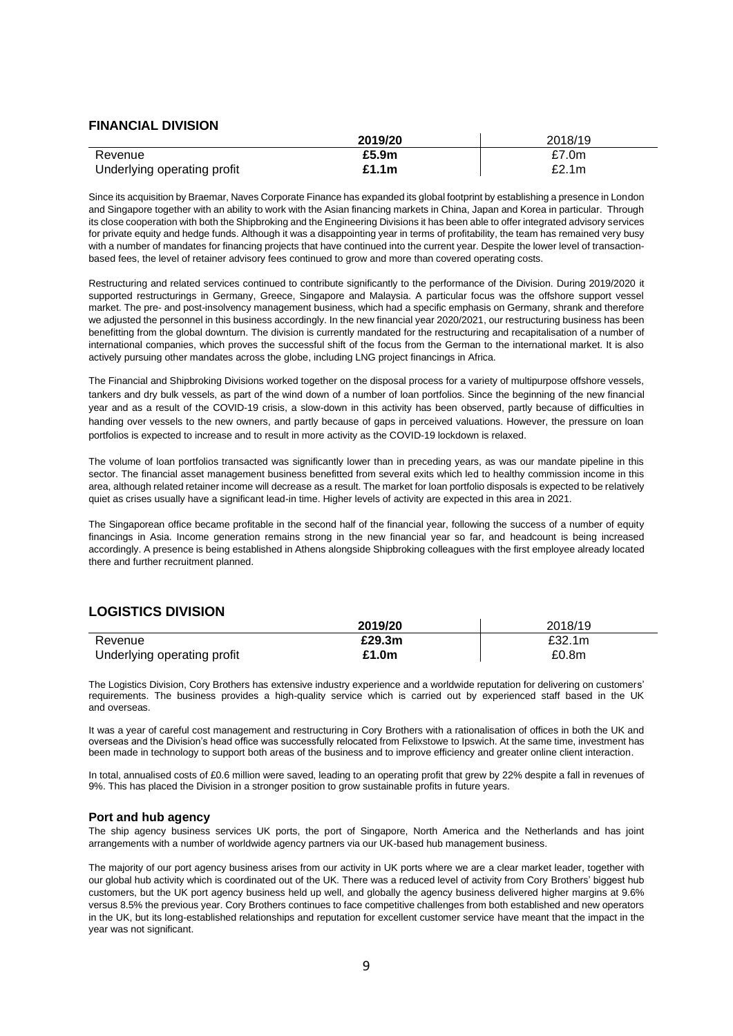### **FINANCIAL DIVISION**

|                             | 2019/20 | 2018/19 |
|-----------------------------|---------|---------|
| Revenue                     | £5.9m   | £7.0m   |
| Underlying operating profit | £1.1m   | £2.1m   |

Since its acquisition by Braemar, Naves Corporate Finance has expanded its global footprint by establishing a presence in London and Singapore together with an ability to work with the Asian financing markets in China, Japan and Korea in particular. Through its close cooperation with both the Shipbroking and the Engineering Divisions it has been able to offer integrated advisory services for private equity and hedge funds. Although it was a disappointing year in terms of profitability, the team has remained very busy with a number of mandates for financing projects that have continued into the current year. Despite the lower level of transactionbased fees, the level of retainer advisory fees continued to grow and more than covered operating costs.

Restructuring and related services continued to contribute significantly to the performance of the Division. During 2019/2020 it supported restructurings in Germany, Greece, Singapore and Malaysia. A particular focus was the offshore support vessel market. The pre- and post-insolvency management business, which had a specific emphasis on Germany, shrank and therefore we adjusted the personnel in this business accordingly. In the new financial year 2020/2021, our restructuring business has been benefitting from the global downturn. The division is currently mandated for the restructuring and recapitalisation of a number of international companies, which proves the successful shift of the focus from the German to the international market. It is also actively pursuing other mandates across the globe, including LNG project financings in Africa.

The Financial and Shipbroking Divisions worked together on the disposal process for a variety of multipurpose offshore vessels, tankers and dry bulk vessels, as part of the wind down of a number of loan portfolios. Since the beginning of the new financial year and as a result of the COVID-19 crisis, a slow-down in this activity has been observed, partly because of difficulties in handing over vessels to the new owners, and partly because of gaps in perceived valuations. However, the pressure on loan portfolios is expected to increase and to result in more activity as the COVID-19 lockdown is relaxed.

The volume of loan portfolios transacted was significantly lower than in preceding years, as was our mandate pipeline in this sector. The financial asset management business benefitted from several exits which led to healthy commission income in this area, although related retainer income will decrease as a result. The market for loan portfolio disposals is expected to be relatively quiet as crises usually have a significant lead-in time. Higher levels of activity are expected in this area in 2021.

The Singaporean office became profitable in the second half of the financial year, following the success of a number of equity financings in Asia. Income generation remains strong in the new financial year so far, and headcount is being increased accordingly. A presence is being established in Athens alongside Shipbroking colleagues with the first employee already located there and further recruitment planned.

# **LOGISTICS DIVISION**

|                             | 2019/20 | 2018/19 |
|-----------------------------|---------|---------|
| Revenue                     | £29.3m  | £32.1m  |
| Underlying operating profit | £1.0m   | £0.8m   |

The Logistics Division, Cory Brothers has extensive industry experience and a worldwide reputation for delivering on customers' requirements. The business provides a high-quality service which is carried out by experienced staff based in the UK and overseas.

It was a year of careful cost management and restructuring in Cory Brothers with a rationalisation of offices in both the UK and overseas and the Division's head office was successfully relocated from Felixstowe to Ipswich. At the same time, investment has been made in technology to support both areas of the business and to improve efficiency and greater online client interaction.

In total, annualised costs of £0.6 million were saved, leading to an operating profit that grew by 22% despite a fall in revenues of 9%. This has placed the Division in a stronger position to grow sustainable profits in future years.

#### **Port and hub agency**

The ship agency business services UK ports, the port of Singapore, North America and the Netherlands and has joint arrangements with a number of worldwide agency partners via our UK-based hub management business.

The majority of our port agency business arises from our activity in UK ports where we are a clear market leader, together with our global hub activity which is coordinated out of the UK. There was a reduced level of activity from Cory Brothers' biggest hub customers, but the UK port agency business held up well, and globally the agency business delivered higher margins at 9.6% versus 8.5% the previous year. Cory Brothers continues to face competitive challenges from both established and new operators in the UK, but its long-established relationships and reputation for excellent customer service have meant that the impact in the year was not significant.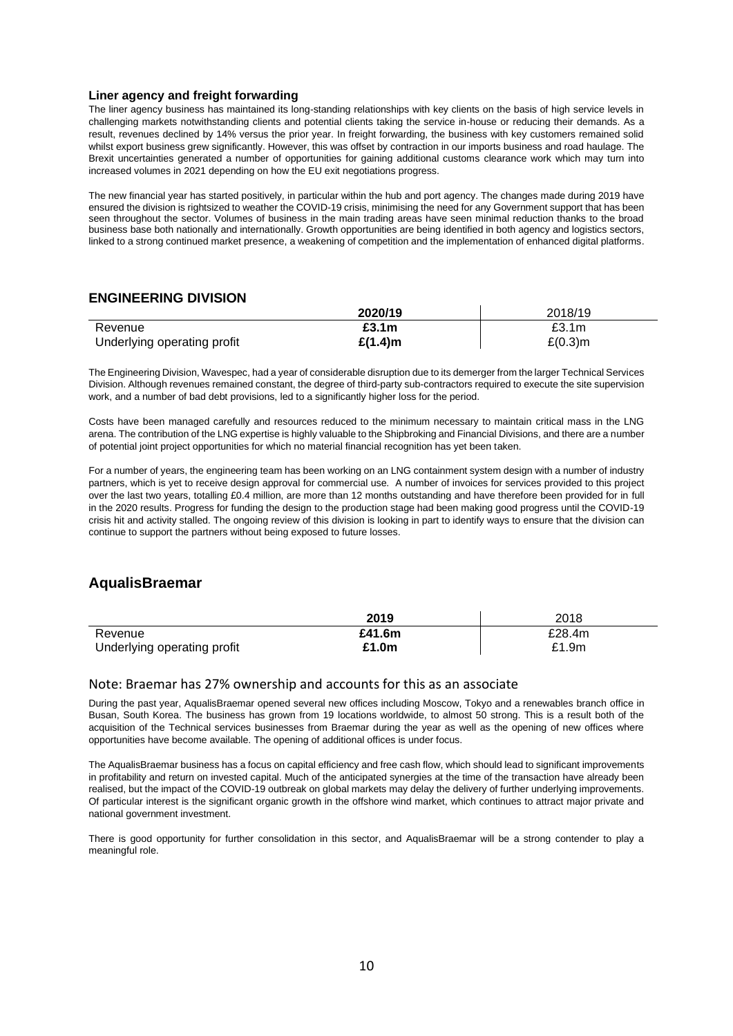#### **Liner agency and freight forwarding**

The liner agency business has maintained its long-standing relationships with key clients on the basis of high service levels in challenging markets notwithstanding clients and potential clients taking the service in-house or reducing their demands. As a result, revenues declined by 14% versus the prior year. In freight forwarding, the business with key customers remained solid whilst export business grew significantly. However, this was offset by contraction in our imports business and road haulage. The Brexit uncertainties generated a number of opportunities for gaining additional customs clearance work which may turn into increased volumes in 2021 depending on how the EU exit negotiations progress.

The new financial year has started positively, in particular within the hub and port agency. The changes made during 2019 have ensured the division is rightsized to weather the COVID-19 crisis, minimising the need for any Government support that has been seen throughout the sector. Volumes of business in the main trading areas have seen minimal reduction thanks to the broad business base both nationally and internationally. Growth opportunities are being identified in both agency and logistics sectors, linked to a strong continued market presence, a weakening of competition and the implementation of enhanced digital platforms.

# **ENGINEERING DIVISION**

|                             | 2020/19    | 2018/19           |
|-----------------------------|------------|-------------------|
| Revenue                     | £3.1m      | £3.1 <sub>m</sub> |
| Underlying operating profit | $£(1.4)$ m | $E(0.3)$ m        |

The Engineering Division, Wavespec, had a year of considerable disruption due to its demerger from the larger Technical Services Division. Although revenues remained constant, the degree of third-party sub-contractors required to execute the site supervision work, and a number of bad debt provisions, led to a significantly higher loss for the period.

Costs have been managed carefully and resources reduced to the minimum necessary to maintain critical mass in the LNG arena. The contribution of the LNG expertise is highly valuable to the Shipbroking and Financial Divisions, and there are a number of potential joint project opportunities for which no material financial recognition has yet been taken.

For a number of years, the engineering team has been working on an LNG containment system design with a number of industry partners, which is yet to receive design approval for commercial use. A number of invoices for services provided to this project over the last two years, totalling £0.4 million, are more than 12 months outstanding and have therefore been provided for in full in the 2020 results. Progress for funding the design to the production stage had been making good progress until the COVID-19 crisis hit and activity stalled. The ongoing review of this division is looking in part to identify ways to ensure that the division can continue to support the partners without being exposed to future losses.

# **AqualisBraemar**

|                             | 2019   | 2018   |
|-----------------------------|--------|--------|
| Revenue                     | £41.6m | £28.4m |
| Underlying operating profit | £1.0m  | £1.9m  |

#### Note: Braemar has 27% ownership and accounts for this as an associate

During the past year, AqualisBraemar opened several new offices including Moscow, Tokyo and a renewables branch office in Busan, South Korea. The business has grown from 19 locations worldwide, to almost 50 strong. This is a result both of the acquisition of the Technical services businesses from Braemar during the year as well as the opening of new offices where opportunities have become available. The opening of additional offices is under focus.

The AqualisBraemar business has a focus on capital efficiency and free cash flow, which should lead to significant improvements in profitability and return on invested capital. Much of the anticipated synergies at the time of the transaction have already been realised, but the impact of the COVID-19 outbreak on global markets may delay the delivery of further underlying improvements. Of particular interest is the significant organic growth in the offshore wind market, which continues to attract major private and national government investment.

There is good opportunity for further consolidation in this sector, and AqualisBraemar will be a strong contender to play a meaningful role.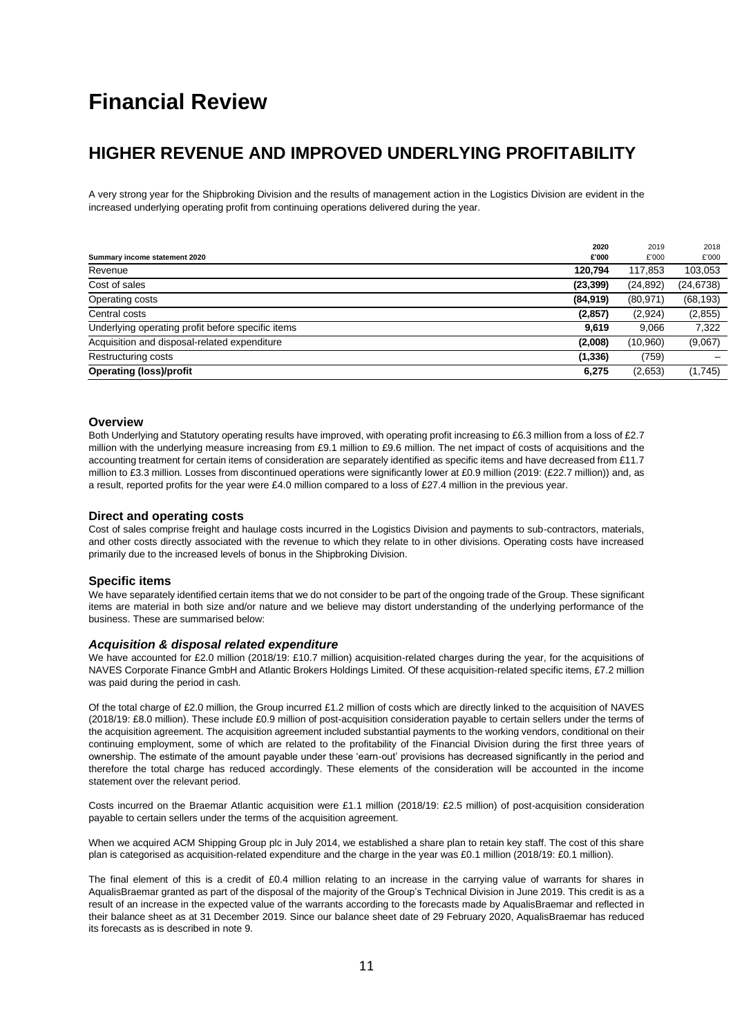# **Financial Review**

# **HIGHER REVENUE AND IMPROVED UNDERLYING PROFITABILITY**

A very strong year for the Shipbroking Division and the results of management action in the Logistics Division are evident in the increased underlying operating profit from continuing operations delivered during the year.

|                                                   | 2020      | 2019      | 2018       |
|---------------------------------------------------|-----------|-----------|------------|
| Summary income statement 2020                     | £'000     | £'000     | £'000      |
| Revenue                                           | 120.794   | 117,853   | 103,053    |
| Cost of sales                                     | (23, 399) | (24, 892) | (24, 6738) |
| Operating costs                                   | (84,919)  | (80, 971) | (68, 193)  |
| Central costs                                     | (2, 857)  | (2,924)   | (2,855)    |
| Underlying operating profit before specific items | 9,619     | 9.066     | 7,322      |
| Acquisition and disposal-related expenditure      | (2,008)   | (10,960)  | (9,067)    |
| Restructuring costs                               | (1, 336)  | (759)     |            |
| <b>Operating (loss)/profit</b>                    | 6,275     | (2,653)   | (1,745)    |

#### **Overview**

Both Underlying and Statutory operating results have improved, with operating profit increasing to £6.3 million from a loss of £2.7 million with the underlying measure increasing from £9.1 million to £9.6 million. The net impact of costs of acquisitions and the accounting treatment for certain items of consideration are separately identified as specific items and have decreased from £11.7 million to £3.3 million. Losses from discontinued operations were significantly lower at £0.9 million (2019: (£22.7 million)) and, as a result, reported profits for the year were £4.0 million compared to a loss of £27.4 million in the previous year.

#### **Direct and operating costs**

Cost of sales comprise freight and haulage costs incurred in the Logistics Division and payments to sub-contractors, materials, and other costs directly associated with the revenue to which they relate to in other divisions. Operating costs have increased primarily due to the increased levels of bonus in the Shipbroking Division.

#### **Specific items**

We have separately identified certain items that we do not consider to be part of the ongoing trade of the Group. These significant items are material in both size and/or nature and we believe may distort understanding of the underlying performance of the business. These are summarised below:

#### *Acquisition & disposal related expenditure*

We have accounted for £2.0 million (2018/19: £10.7 million) acquisition-related charges during the year, for the acquisitions of NAVES Corporate Finance GmbH and Atlantic Brokers Holdings Limited. Of these acquisition-related specific items, £7.2 million was paid during the period in cash.

Of the total charge of £2.0 million, the Group incurred £1.2 million of costs which are directly linked to the acquisition of NAVES (2018/19: £8.0 million). These include £0.9 million of post-acquisition consideration payable to certain sellers under the terms of the acquisition agreement. The acquisition agreement included substantial payments to the working vendors, conditional on their continuing employment, some of which are related to the profitability of the Financial Division during the first three years of ownership. The estimate of the amount payable under these 'earn-out' provisions has decreased significantly in the period and therefore the total charge has reduced accordingly. These elements of the consideration will be accounted in the income statement over the relevant period.

Costs incurred on the Braemar Atlantic acquisition were £1.1 million (2018/19: £2.5 million) of post-acquisition consideration payable to certain sellers under the terms of the acquisition agreement.

When we acquired ACM Shipping Group plc in July 2014, we established a share plan to retain key staff. The cost of this share plan is categorised as acquisition-related expenditure and the charge in the year was £0.1 million (2018/19: £0.1 million).

The final element of this is a credit of £0.4 million relating to an increase in the carrying value of warrants for shares in AqualisBraemar granted as part of the disposal of the majority of the Group's Technical Division in June 2019. This credit is as a result of an increase in the expected value of the warrants according to the forecasts made by AqualisBraemar and reflected in their balance sheet as at 31 December 2019. Since our balance sheet date of 29 February 2020, AqualisBraemar has reduced its forecasts as is described in note 9.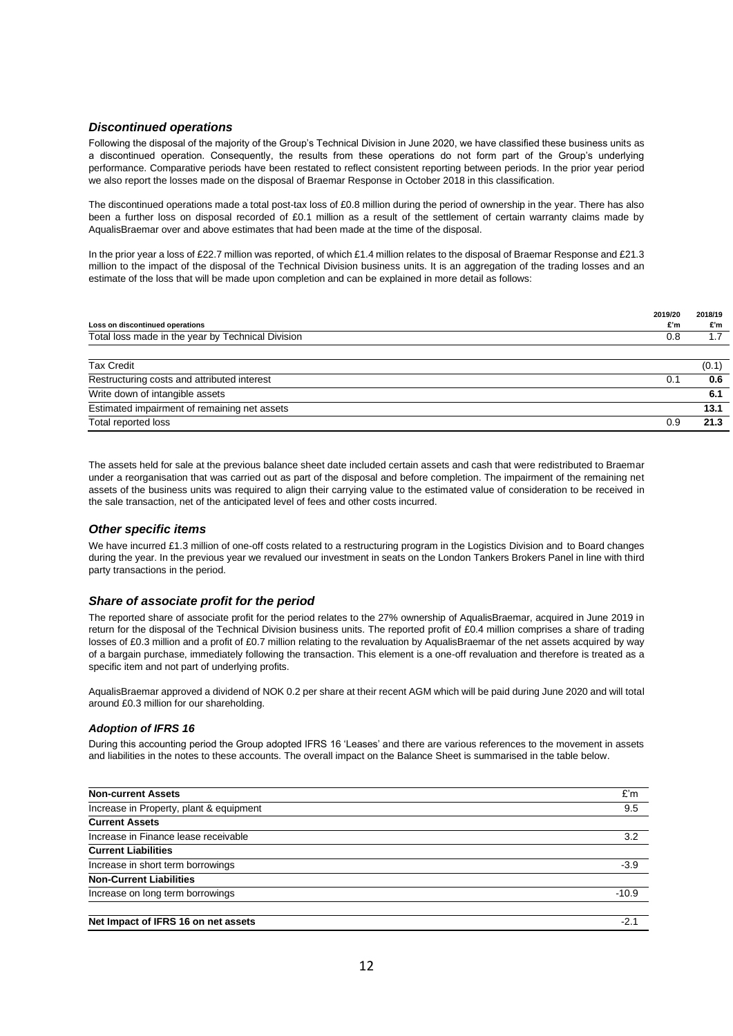### *Discontinued operations*

Following the disposal of the majority of the Group's Technical Division in June 2020, we have classified these business units as a discontinued operation. Consequently, the results from these operations do not form part of the Group's underlying performance. Comparative periods have been restated to reflect consistent reporting between periods. In the prior year period we also report the losses made on the disposal of Braemar Response in October 2018 in this classification.

The discontinued operations made a total post-tax loss of £0.8 million during the period of ownership in the year. There has also been a further loss on disposal recorded of £0.1 million as a result of the settlement of certain warranty claims made by AqualisBraemar over and above estimates that had been made at the time of the disposal.

In the prior year a loss of £22.7 million was reported, of which £1.4 million relates to the disposal of Braemar Response and £21.3 million to the impact of the disposal of the Technical Division business units. It is an aggregation of the trading losses and an estimate of the loss that will be made upon completion and can be explained in more detail as follows:

| Loss on discontinued operations                   | 2019/20<br>£'m | 2018/19<br>£'m |
|---------------------------------------------------|----------------|----------------|
| Total loss made in the year by Technical Division | 0.8            | 1.7            |
|                                                   |                |                |
| <b>Tax Credit</b>                                 |                | (0.1)          |
| Restructuring costs and attributed interest       | 0.1            | 0.6            |
| Write down of intangible assets                   |                | 6.1            |
| Estimated impairment of remaining net assets      |                | 13.1           |
| Total reported loss                               | 0.9            | 21.3           |

The assets held for sale at the previous balance sheet date included certain assets and cash that were redistributed to Braemar under a reorganisation that was carried out as part of the disposal and before completion. The impairment of the remaining net assets of the business units was required to align their carrying value to the estimated value of consideration to be received in the sale transaction, net of the anticipated level of fees and other costs incurred.

#### *Other specific items*

We have incurred £1.3 million of one-off costs related to a restructuring program in the Logistics Division and to Board changes during the year. In the previous year we revalued our investment in seats on the London Tankers Brokers Panel in line with third party transactions in the period.

#### *Share of associate profit for the period*

The reported share of associate profit for the period relates to the 27% ownership of AqualisBraemar, acquired in June 2019 in return for the disposal of the Technical Division business units. The reported profit of £0.4 million comprises a share of trading losses of £0.3 million and a profit of £0.7 million relating to the revaluation by AqualisBraemar of the net assets acquired by way of a bargain purchase, immediately following the transaction. This element is a one-off revaluation and therefore is treated as a specific item and not part of underlying profits.

AqualisBraemar approved a dividend of NOK 0.2 per share at their recent AGM which will be paid during June 2020 and will total around £0.3 million for our shareholding.

#### *Adoption of IFRS 16*

During this accounting period the Group adopted IFRS 16 'Leases' and there are various references to the movement in assets and liabilities in the notes to these accounts. The overall impact on the Balance Sheet is summarised in the table below.

| <b>Non-current Assets</b>               | £'m     |
|-----------------------------------------|---------|
| Increase in Property, plant & equipment | 9.5     |
| <b>Current Assets</b>                   |         |
| Increase in Finance lease receivable    | 3.2     |
| <b>Current Liabilities</b>              |         |
| Increase in short term borrowings       | $-3.9$  |
| <b>Non-Current Liabilities</b>          |         |
| Increase on long term borrowings        | $-10.9$ |
|                                         |         |
| Net Impact of IFRS 16 on net assets     | $-2.1$  |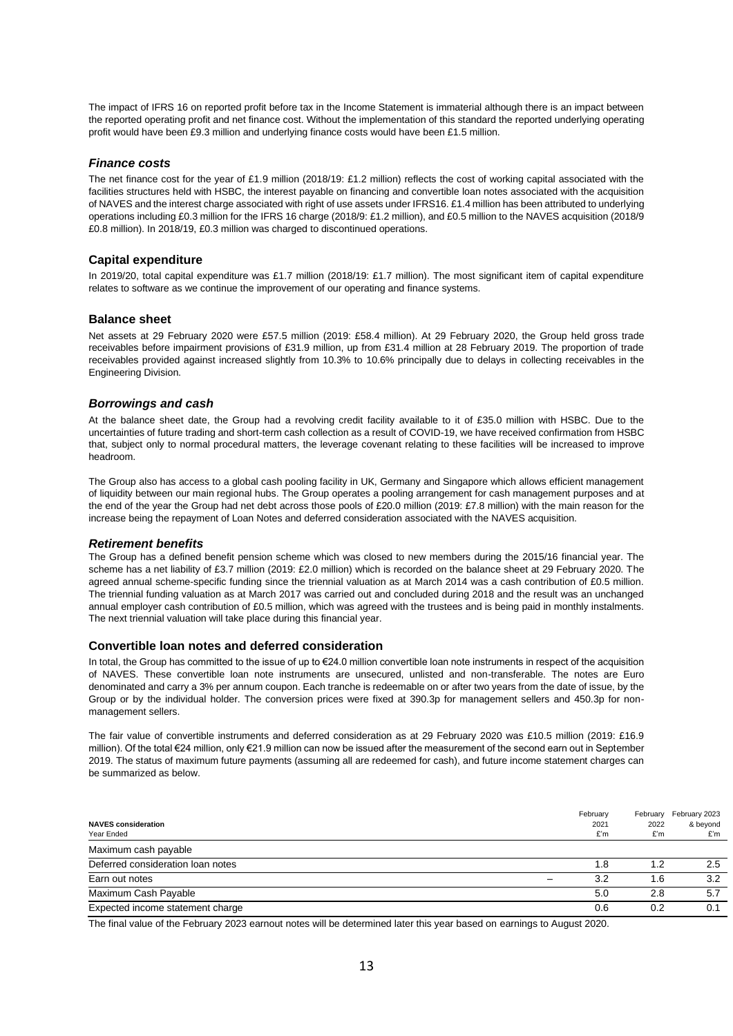The impact of IFRS 16 on reported profit before tax in the Income Statement is immaterial although there is an impact between the reported operating profit and net finance cost. Without the implementation of this standard the reported underlying operating profit would have been £9.3 million and underlying finance costs would have been £1.5 million.

#### *Finance costs*

The net finance cost for the year of £1.9 million (2018/19: £1.2 million) reflects the cost of working capital associated with the facilities structures held with HSBC, the interest payable on financing and convertible loan notes associated with the acquisition of NAVES and the interest charge associated with right of use assets under IFRS16. £1.4 million has been attributed to underlying operations including £0.3 million for the IFRS 16 charge (2018/9: £1.2 million), and £0.5 million to the NAVES acquisition (2018/9 £0.8 million). In 2018/19, £0.3 million was charged to discontinued operations.

#### **Capital expenditure**

In 2019/20, total capital expenditure was £1.7 million (2018/19: £1.7 million). The most significant item of capital expenditure relates to software as we continue the improvement of our operating and finance systems.

#### **Balance sheet**

Net assets at 29 February 2020 were £57.5 million (2019: £58.4 million). At 29 February 2020, the Group held gross trade receivables before impairment provisions of £31.9 million, up from £31.4 million at 28 February 2019. The proportion of trade receivables provided against increased slightly from 10.3% to 10.6% principally due to delays in collecting receivables in the Engineering Division.

#### *Borrowings and cash*

At the balance sheet date, the Group had a revolving credit facility available to it of £35.0 million with HSBC. Due to the uncertainties of future trading and short-term cash collection as a result of COVID-19, we have received confirmation from HSBC that, subject only to normal procedural matters, the leverage covenant relating to these facilities will be increased to improve headroom.

The Group also has access to a global cash pooling facility in UK, Germany and Singapore which allows efficient management of liquidity between our main regional hubs. The Group operates a pooling arrangement for cash management purposes and at the end of the year the Group had net debt across those pools of £20.0 million (2019: £7.8 million) with the main reason for the increase being the repayment of Loan Notes and deferred consideration associated with the NAVES acquisition.

#### *Retirement benefits*

The Group has a defined benefit pension scheme which was closed to new members during the 2015/16 financial year. The scheme has a net liability of £3.7 million (2019: £2.0 million) which is recorded on the balance sheet at 29 February 2020. The agreed annual scheme-specific funding since the triennial valuation as at March 2014 was a cash contribution of £0.5 million. The triennial funding valuation as at March 2017 was carried out and concluded during 2018 and the result was an unchanged annual employer cash contribution of £0.5 million, which was agreed with the trustees and is being paid in monthly instalments. The next triennial valuation will take place during this financial year.

#### **Convertible loan notes and deferred consideration**

In total, the Group has committed to the issue of up to €24.0 million convertible loan note instruments in respect of the acquisition of NAVES. These convertible loan note instruments are unsecured, unlisted and non-transferable. The notes are Euro denominated and carry a 3% per annum coupon. Each tranche is redeemable on or after two years from the date of issue, by the Group or by the individual holder. The conversion prices were fixed at 390.3p for management sellers and 450.3p for nonmanagement sellers.

The fair value of convertible instruments and deferred consideration as at 29 February 2020 was £10.5 million (2019: £16.9 million). Of the total €24 million, only €21.9 million can now be issued after the measurement of the second earn out in September 2019. The status of maximum future payments (assuming all are redeemed for cash), and future income statement charges can be summarized as below.

| <b>NAVES consideration</b><br>Year Ended | February<br>2021<br>£'m | February<br>2022<br>£'m | February 2023<br>& beyond<br>£'m |
|------------------------------------------|-------------------------|-------------------------|----------------------------------|
| Maximum cash payable                     |                         |                         |                                  |
| Deferred consideration loan notes        | 1.8                     | 1.2                     | 2.5                              |
| Earn out notes                           | 3.2                     | 1.6                     | 3.2                              |
| Maximum Cash Payable                     | 5.0                     | 2.8                     | 5.7                              |
| Expected income statement charge         | 0.6                     | 0.2                     | 0.1                              |

The final value of the February 2023 earnout notes will be determined later this year based on earnings to August 2020.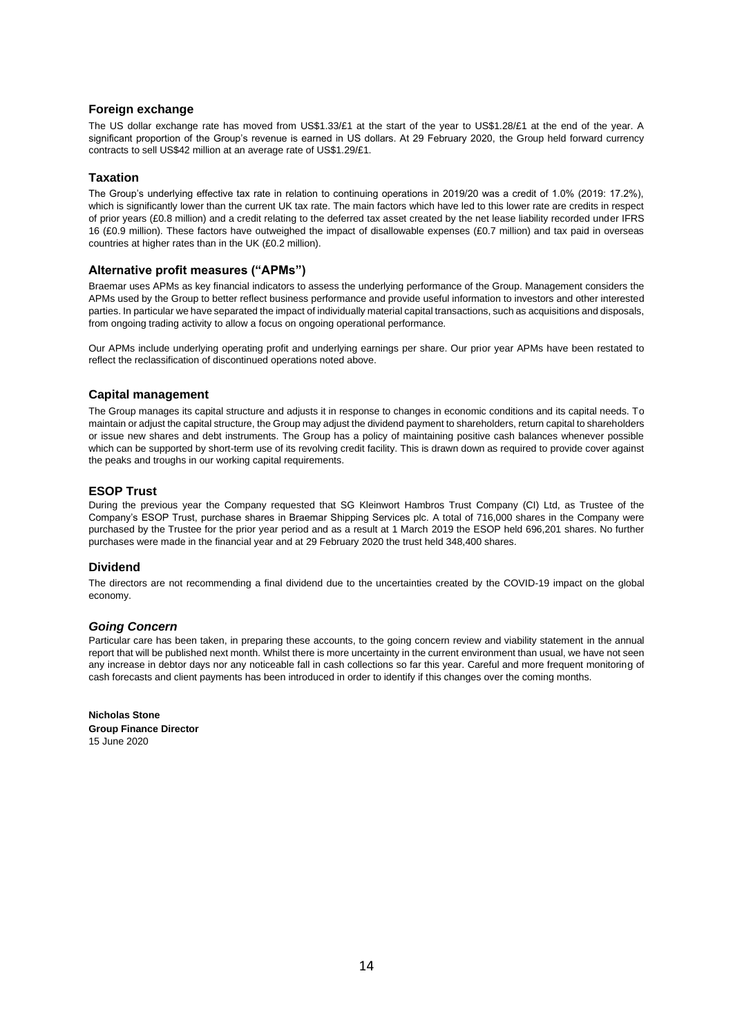#### **Foreign exchange**

The US dollar exchange rate has moved from US\$1.33/£1 at the start of the year to US\$1.28/£1 at the end of the year. A significant proportion of the Group's revenue is earned in US dollars. At 29 February 2020, the Group held forward currency contracts to sell US\$42 million at an average rate of US\$1.29/£1.

#### **Taxation**

The Group's underlying effective tax rate in relation to continuing operations in 2019/20 was a credit of 1.0% (2019: 17.2%), which is significantly lower than the current UK tax rate. The main factors which have led to this lower rate are credits in respect of prior years (£0.8 million) and a credit relating to the deferred tax asset created by the net lease liability recorded under IFRS 16 (£0.9 million). These factors have outweighed the impact of disallowable expenses (£0.7 million) and tax paid in overseas countries at higher rates than in the UK (£0.2 million).

#### **Alternative profit measures ("APMs")**

Braemar uses APMs as key financial indicators to assess the underlying performance of the Group. Management considers the APMs used by the Group to better reflect business performance and provide useful information to investors and other interested parties. In particular we have separated the impact of individually material capital transactions, such as acquisitions and disposals, from ongoing trading activity to allow a focus on ongoing operational performance.

Our APMs include underlying operating profit and underlying earnings per share. Our prior year APMs have been restated to reflect the reclassification of discontinued operations noted above.

#### **Capital management**

The Group manages its capital structure and adjusts it in response to changes in economic conditions and its capital needs. To maintain or adjust the capital structure, the Group may adjust the dividend payment to shareholders, return capital to shareholders or issue new shares and debt instruments. The Group has a policy of maintaining positive cash balances whenever possible which can be supported by short-term use of its revolving credit facility. This is drawn down as required to provide cover against the peaks and troughs in our working capital requirements.

#### **ESOP Trust**

During the previous year the Company requested that SG Kleinwort Hambros Trust Company (CI) Ltd, as Trustee of the Company's ESOP Trust, purchase shares in Braemar Shipping Services plc. A total of 716,000 shares in the Company were purchased by the Trustee for the prior year period and as a result at 1 March 2019 the ESOP held 696,201 shares. No further purchases were made in the financial year and at 29 February 2020 the trust held 348,400 shares.

#### **Dividend**

The directors are not recommending a final dividend due to the uncertainties created by the COVID-19 impact on the global economy.

#### *Going Concern*

Particular care has been taken, in preparing these accounts, to the going concern review and viability statement in the annual report that will be published next month. Whilst there is more uncertainty in the current environment than usual, we have not seen any increase in debtor days nor any noticeable fall in cash collections so far this year. Careful and more frequent monitoring of cash forecasts and client payments has been introduced in order to identify if this changes over the coming months.

**Nicholas Stone Group Finance Director**  15 June 2020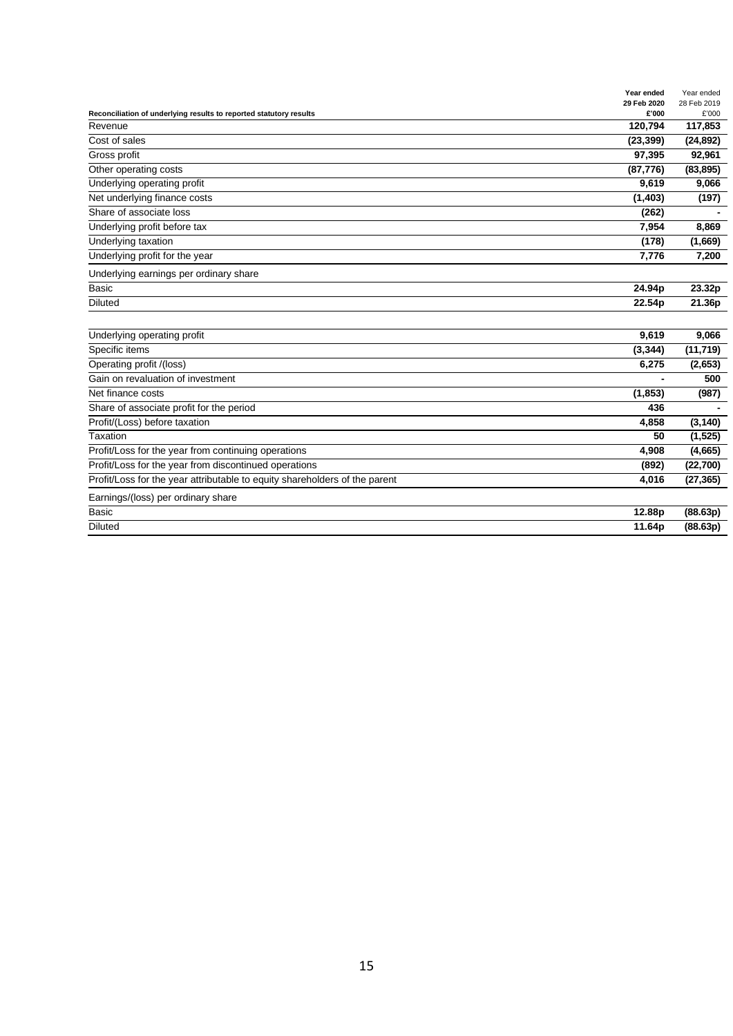|                                                                            | Year ended           | Year ended           |
|----------------------------------------------------------------------------|----------------------|----------------------|
| Reconciliation of underlying results to reported statutory results         | 29 Feb 2020<br>£'000 | 28 Feb 2019<br>£'000 |
| Revenue                                                                    | 120,794              | 117,853              |
| Cost of sales                                                              | (23, 399)            | (24, 892)            |
| Gross profit                                                               | 97,395               | 92,961               |
| Other operating costs                                                      | (87, 776)            | (83, 895)            |
| Underlying operating profit                                                | 9,619                | 9,066                |
| Net underlying finance costs                                               | (1,403)              | (197)                |
| Share of associate loss                                                    | (262)                |                      |
| Underlying profit before tax                                               | 7,954                | 8,869                |
| Underlying taxation                                                        | (178)                | (1,669)              |
| Underlying profit for the year                                             | 7,776                | 7,200                |
| Underlying earnings per ordinary share                                     |                      |                      |
| Basic                                                                      | 24.94p               | 23.32p               |
| <b>Diluted</b>                                                             | 22.54p               | 21.36p               |
|                                                                            |                      |                      |
| Underlying operating profit                                                | 9,619                | 9,066                |
| Specific items                                                             | (3, 344)             | (11, 719)            |
| Operating profit /(loss)                                                   | 6,275                | (2,653)              |
| Gain on revaluation of investment                                          |                      | 500                  |
| Net finance costs                                                          | (1, 853)             | (987)                |
| Share of associate profit for the period                                   | 436                  |                      |
| Profit/(Loss) before taxation                                              | 4,858                | (3, 140)             |
| Taxation                                                                   | 50                   | (1, 525)             |
| Profit/Loss for the year from continuing operations                        | 4,908                | (4,665)              |
| Profit/Loss for the year from discontinued operations                      | (892)                | (22, 700)            |
| Profit/Loss for the year attributable to equity shareholders of the parent | 4,016                | (27, 365)            |
| Earnings/(loss) per ordinary share                                         |                      |                      |
| <b>Basic</b>                                                               | 12.88p               | (88.63p)             |
| <b>Diluted</b>                                                             | 11.64p               | (88.63p)             |
|                                                                            |                      |                      |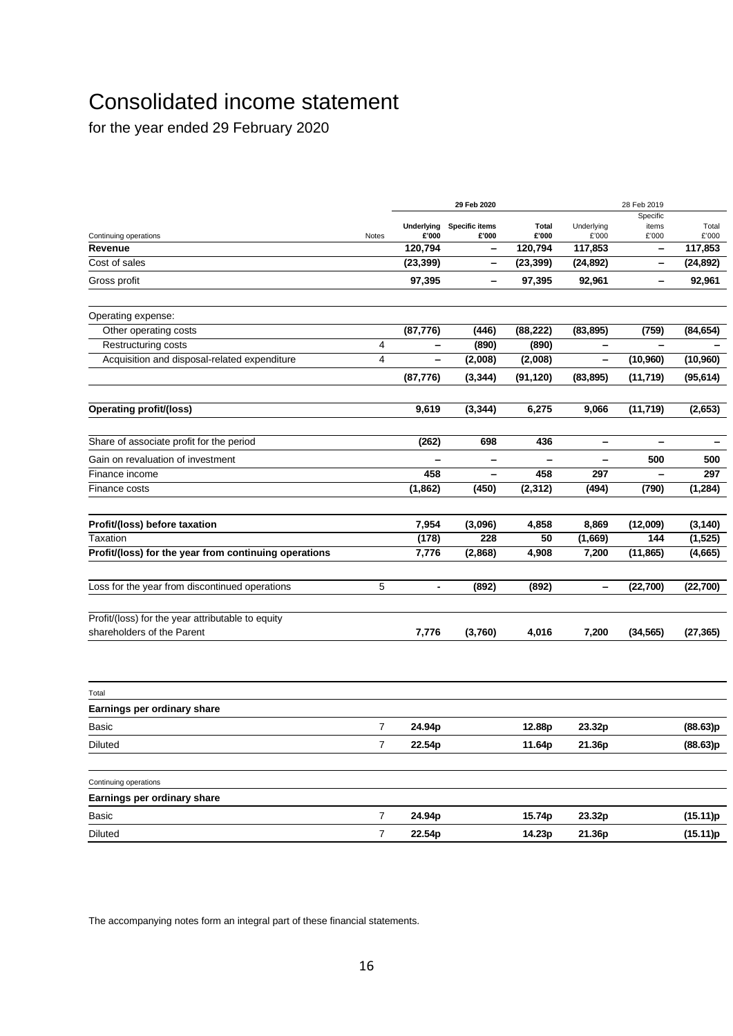# Consolidated income statement

for the year ended 29 February 2020

|                                                       |       |                          | 29 Feb 2020     |              |                          | 28 Feb 2019       |           |
|-------------------------------------------------------|-------|--------------------------|-----------------|--------------|--------------------------|-------------------|-----------|
|                                                       |       | <b>Underlying</b>        | Specific items  | <b>Total</b> | Underlying               | Specific<br>items | Total     |
| Continuing operations                                 | Notes | £'000                    | £'000           | £'000        | £'000                    | £'000             | £'000     |
| Revenue                                               |       | 120,794                  | $\qquad \qquad$ | 120,794      | 117,853                  | -                 | 117,853   |
| Cost of sales                                         |       | (23, 399)                | -               | (23, 399)    | (24, 892)                | -                 | (24, 892) |
| Gross profit                                          |       | 97,395                   | -               | 97,395       | 92,961                   | -                 | 92,961    |
| Operating expense:                                    |       |                          |                 |              |                          |                   |           |
| Other operating costs                                 |       | (87, 776)                | (446)           | (88, 222)    | (83, 895)                | (759)             | (84, 654) |
| Restructuring costs                                   | 4     | -                        | (890)           | (890)        |                          |                   |           |
| Acquisition and disposal-related expenditure          | 4     | -                        | (2,008)         | (2,008)      | -                        | (10, 960)         | (10, 960) |
|                                                       |       | (87, 776)                | (3, 344)        | (91, 120)    | (83, 895)                | (11,719)          | (95, 614) |
| <b>Operating profit/(loss)</b>                        |       | 9,619                    | (3, 344)        | 6,275        | 9,066                    | (11, 719)         | (2,653)   |
| Share of associate profit for the period              |       | (262)                    | 698             | 436          | -                        | -                 |           |
| Gain on revaluation of investment                     |       |                          | -               |              | -                        | 500               | 500       |
| Finance income                                        |       | 458                      | -               | 458          | 297                      | -                 | 297       |
| Finance costs                                         |       | (1,862)                  | (450)           | (2, 312)     | (494)                    | (790)             | (1, 284)  |
| Profit/(loss) before taxation                         |       | 7,954                    | (3,096)         | 4,858        | 8,869                    | (12,009)          | (3, 140)  |
| Taxation                                              |       | (178)                    | 228             | 50           | (1,669)                  | 144               | (1, 525)  |
| Profit/(loss) for the year from continuing operations |       | 7,776                    | (2,868)         | 4,908        | 7,200                    | (11, 865)         | (4,665)   |
| Loss for the year from discontinued operations        | 5     | $\overline{\phantom{a}}$ | (892)           | (892)        | $\overline{\phantom{0}}$ | (22, 700)         | (22, 700) |
| Profit/(loss) for the year attributable to equity     |       |                          |                 |              |                          |                   |           |
| shareholders of the Parent                            |       | 7,776                    | (3,760)         | 4,016        | 7,200                    | (34, 565)         | (27, 365) |
|                                                       |       |                          |                 |              |                          |                   |           |
| Total<br>Earnings per ordinary share                  |       |                          |                 |              |                          |                   |           |
| Basic                                                 | 7     | 24.94p                   |                 | 12.88p       | 23.32p                   |                   | (88.63)p  |
| Diluted                                               | 7     | 22.54p                   |                 | 11.64p       | 21.36p                   |                   | (88.63)p  |
| Continuing operations                                 |       |                          |                 |              |                          |                   |           |
| Earnings per ordinary share                           |       |                          |                 |              |                          |                   |           |
| Basic                                                 | 7     | 24.94p                   |                 | 15.74p       | 23.32p                   |                   | (15.11)p  |
| <b>Diluted</b>                                        | 7     | 22.54p                   |                 | 14.23p       | 21.36p                   |                   | (15.11)p  |

The accompanying notes form an integral part of these financial statements.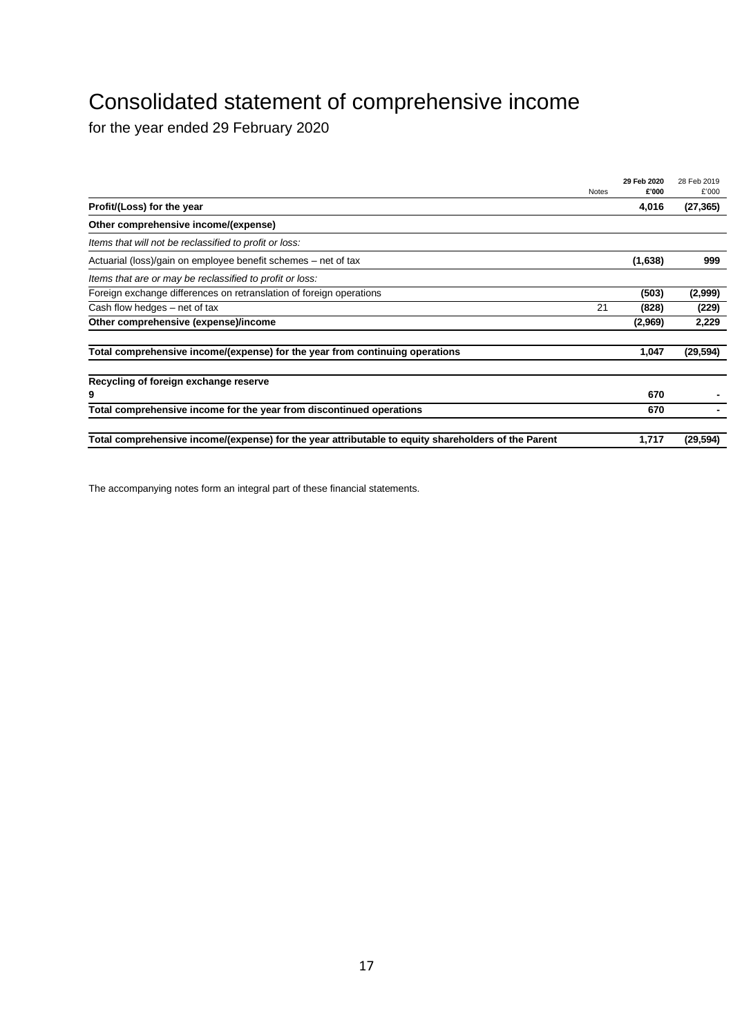# Consolidated statement of comprehensive income

for the year ended 29 February 2020

|                                                                                                     | <b>Notes</b> | 29 Feb 2020<br>£'000 | 28 Feb 2019<br>£'000 |
|-----------------------------------------------------------------------------------------------------|--------------|----------------------|----------------------|
| Profit/(Loss) for the year                                                                          |              | 4,016                | (27, 365)            |
| Other comprehensive income/(expense)                                                                |              |                      |                      |
| Items that will not be reclassified to profit or loss:                                              |              |                      |                      |
| Actuarial (loss)/gain on employee benefit schemes – net of tax                                      |              | (1,638)              | 999                  |
| Items that are or may be reclassified to profit or loss:                                            |              |                      |                      |
| Foreign exchange differences on retranslation of foreign operations                                 |              | (503)                | (2,999)              |
| Cash flow hedges – net of tax                                                                       | 21           | (828)                | (229)                |
| Other comprehensive (expense)/income                                                                |              | (2,969)              | 2,229                |
| Total comprehensive income/(expense) for the year from continuing operations                        |              | 1,047                | (29, 594)            |
| Recycling of foreign exchange reserve                                                               |              |                      |                      |
| 9                                                                                                   |              | 670                  |                      |
| Total comprehensive income for the year from discontinued operations                                |              | 670                  |                      |
| Total comprehensive income/(expense) for the year attributable to equity shareholders of the Parent |              | 1,717                | (29.594)             |

The accompanying notes form an integral part of these financial statements.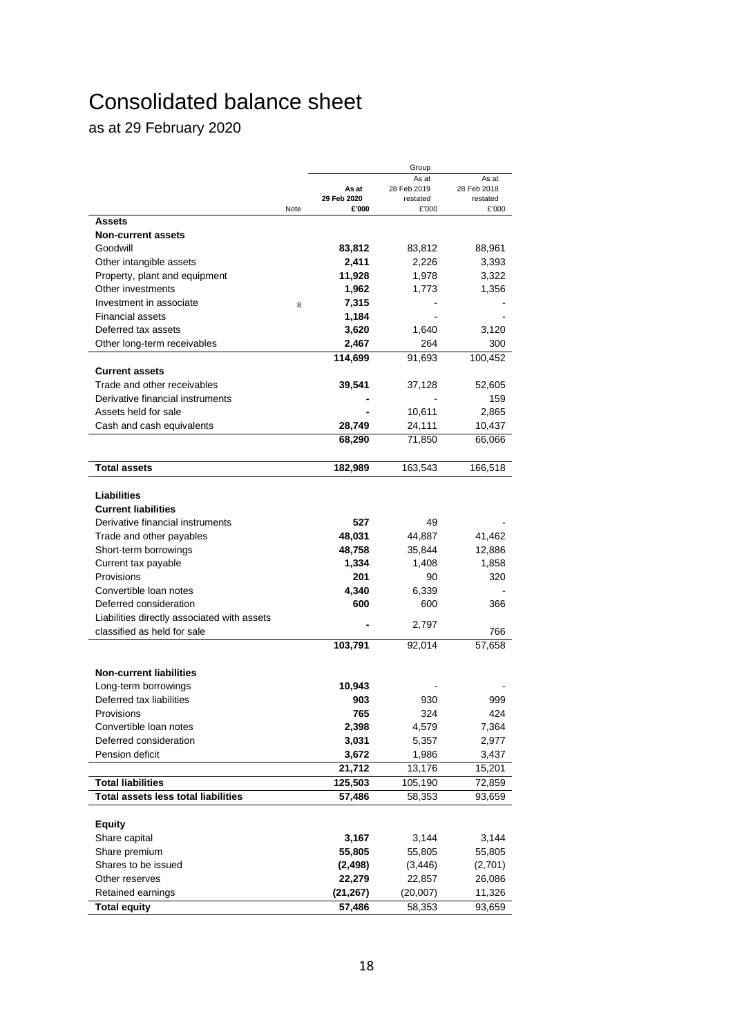# Consolidated balance sheet

as at 29 February 2020

|                                             |      |             | Group                |                      |
|---------------------------------------------|------|-------------|----------------------|----------------------|
|                                             |      | As at       | As at<br>28 Feb 2019 | As at<br>28 Feb 2018 |
|                                             |      | 29 Feb 2020 | restated             | restated             |
|                                             | Note | £'000       | £'000                | £'000                |
| Assets                                      |      |             |                      |                      |
| <b>Non-current assets</b>                   |      |             |                      |                      |
| Goodwill                                    |      | 83,812      | 83,812               | 88,961               |
| Other intangible assets                     |      | 2,411       | 2,226                | 3,393                |
| Property, plant and equipment               |      | 11,928      | 1,978                | 3,322                |
| Other investments                           |      | 1,962       | 1,773                | 1,356                |
| Investment in associate                     | 8    | 7,315       |                      |                      |
| <b>Financial assets</b>                     |      | 1,184       |                      |                      |
| Deferred tax assets                         |      | 3,620       | 1,640                | 3,120                |
| Other long-term receivables                 |      | 2,467       | 264                  | 300                  |
|                                             |      | 114,699     | 91,693               | 100,452              |
| <b>Current assets</b>                       |      |             |                      |                      |
| Trade and other receivables                 |      | 39,541      | 37,128               | 52,605               |
| Derivative financial instruments            |      |             |                      | 159                  |
| Assets held for sale                        |      |             | 10,611               | 2,865                |
| Cash and cash equivalents                   |      | 28,749      | 24,111               | 10,437               |
|                                             |      | 68,290      | 71,850               | 66,066               |
|                                             |      |             |                      |                      |
| <b>Total assets</b>                         |      | 182,989     | 163,543              | 166,518              |
|                                             |      |             |                      |                      |
| <b>Liabilities</b>                          |      |             |                      |                      |
| <b>Current liabilities</b>                  |      |             |                      |                      |
| Derivative financial instruments            |      | 527         | 49                   |                      |
| Trade and other payables                    |      | 48,031      | 44,887               | 41,462               |
| Short-term borrowings                       |      | 48,758      | 35,844               | 12,886               |
| Current tax payable                         |      | 1,334       | 1,408                | 1,858                |
| Provisions                                  |      | 201         | 90                   | 320                  |
| Convertible loan notes                      |      | 4,340       | 6,339                |                      |
| Deferred consideration                      |      | 600         | 600                  | 366                  |
| Liabilities directly associated with assets |      |             | 2,797                |                      |
| classified as held for sale                 |      |             |                      | 766                  |
|                                             |      | 103,791     | 92,014               | 57,658               |
| <b>Non-current liabilities</b>              |      |             |                      |                      |
| Long-term borrowings                        |      | 10,943      |                      |                      |
| Deferred tax liabilities                    |      | 903         | 930                  | 999                  |
| Provisions                                  |      | 765         | 324                  | 424                  |
| Convertible loan notes                      |      | 2,398       | 4,579                | 7,364                |
| Deferred consideration                      |      | 3,031       | 5,357                | 2,977                |
| Pension deficit                             |      | 3,672       | 1,986                | 3,437                |
|                                             |      | 21,712      | 13,176               | 15,201               |
| <b>Total liabilities</b>                    |      | 125,503     | 105,190              | 72,859               |
| <b>Total assets less total liabilities</b>  |      | 57,486      | 58,353               | 93,659               |
|                                             |      |             |                      |                      |
| <b>Equity</b>                               |      |             |                      |                      |
| Share capital                               |      | 3,167       | 3,144                | 3,144                |
| Share premium                               |      | 55,805      | 55,805               | 55,805               |
| Shares to be issued                         |      | (2, 498)    | (3, 446)             | (2,701)              |
| Other reserves                              |      | 22,279      | 22,857               | 26,086               |
| Retained earnings                           |      | (21, 267)   | (20,007)             | 11,326               |
| <b>Total equity</b>                         |      | 57,486      | 58,353               | 93,659               |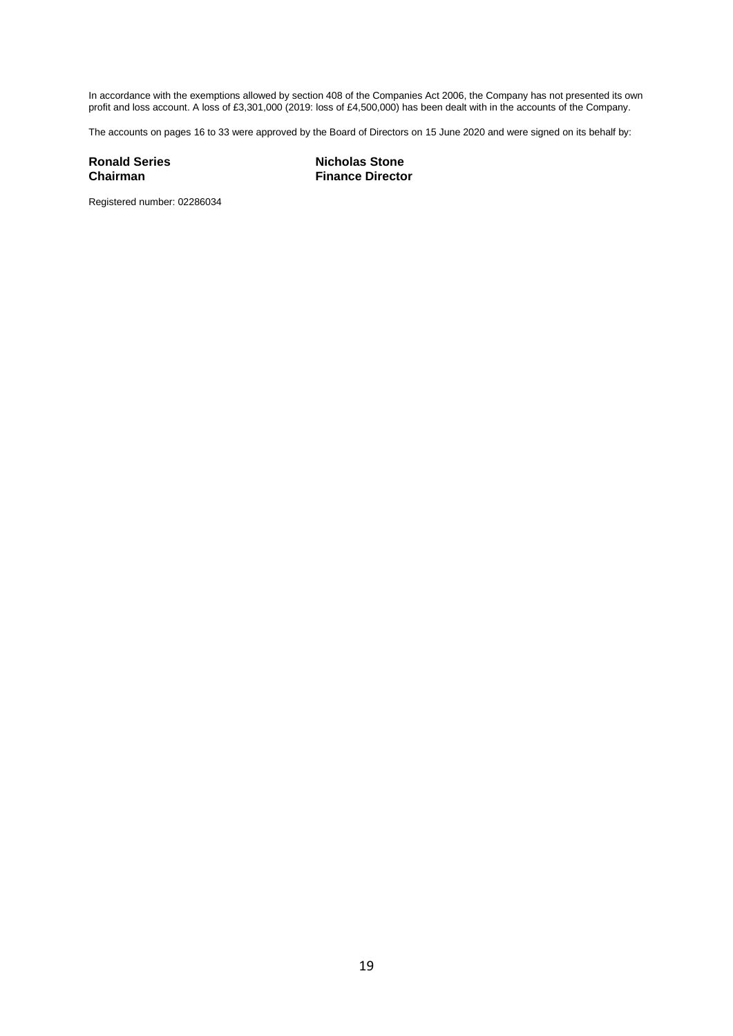In accordance with the exemptions allowed by section 408 of the Companies Act 2006, the Company has not presented its own profit and loss account. A loss of £3,301,000 (2019: loss of £4,500,000) has been dealt with in the accounts of the Company.

The accounts on pages 16 to 33 were approved by the Board of Directors on 15 June 2020 and were signed on its behalf by:

**Ronald Series Nicholas Stone Chairman Finance Director** 

Registered number: 02286034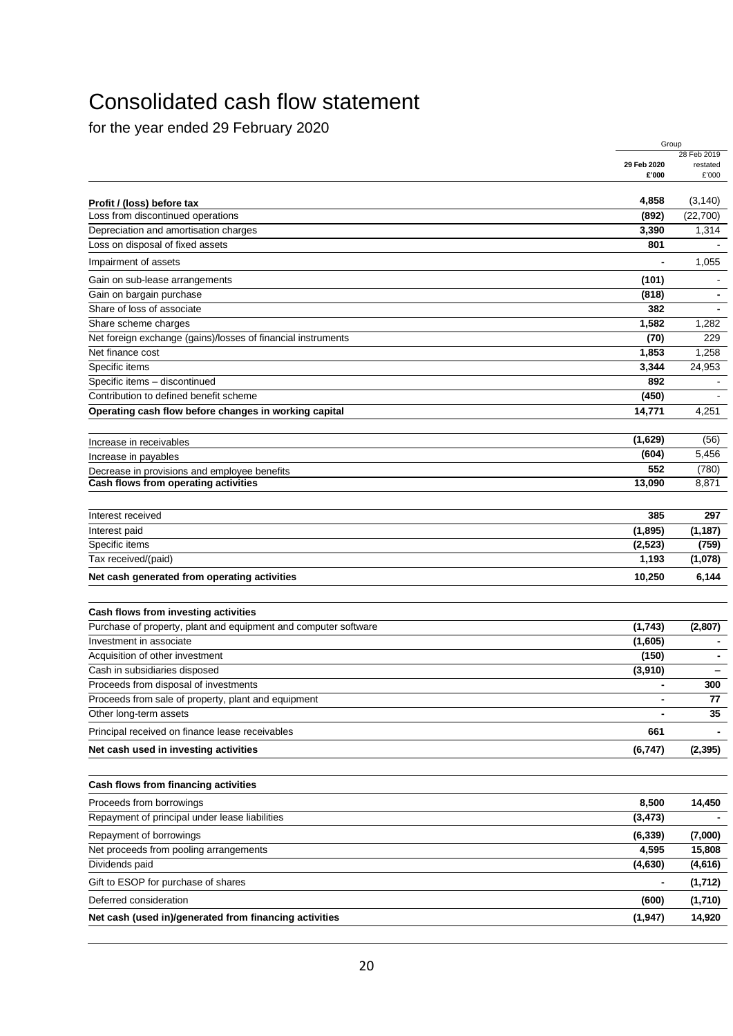# Consolidated cash flow statement

for the year ended 29 February 2020

|                                                                 |                | Group                   |
|-----------------------------------------------------------------|----------------|-------------------------|
|                                                                 | 29 Feb 2020    | 28 Feb 2019<br>restated |
|                                                                 | £'000          | £'000                   |
| Profit / (loss) before tax                                      | 4,858          | (3, 140)                |
| Loss from discontinued operations                               | (892)          | (22,700)                |
| Depreciation and amortisation charges                           | 3,390          | 1,314                   |
| Loss on disposal of fixed assets                                | 801            |                         |
| Impairment of assets                                            |                | 1,055                   |
| Gain on sub-lease arrangements                                  | (101)          |                         |
| Gain on bargain purchase                                        | (818)          |                         |
| Share of loss of associate                                      | 382            |                         |
| Share scheme charges                                            | 1,582          | 1,282                   |
| Net foreign exchange (gains)/losses of financial instruments    | (70)           | 229                     |
| Net finance cost                                                | 1,853          | 1,258                   |
| Specific items                                                  | 3,344          | 24,953                  |
| Specific items - discontinued                                   | 892            |                         |
| Contribution to defined benefit scheme                          | (450)          |                         |
| Operating cash flow before changes in working capital           | 14,771         | 4,251                   |
|                                                                 | (1,629)        | (56)                    |
| Increase in receivables<br>Increase in payables                 | (604)          | 5,456                   |
| Decrease in provisions and employee benefits                    | 552            | (780)                   |
| Cash flows from operating activities                            | 13,090         | 8,871                   |
|                                                                 |                |                         |
| Interest received                                               | 385            | 297                     |
| Interest paid                                                   | (1,895)        | (1, 187)                |
| Specific items                                                  | (2, 523)       | (759)                   |
| Tax received/(paid)                                             | 1,193          | (1,078)                 |
| Net cash generated from operating activities                    | 10,250         | 6,144                   |
|                                                                 |                |                         |
| Cash flows from investing activities                            |                |                         |
| Purchase of property, plant and equipment and computer software | (1, 743)       | (2,807)                 |
| Investment in associate                                         | (1,605)        |                         |
| Acquisition of other investment                                 | (150)          |                         |
| Cash in subsidiaries disposed                                   | (3,910)        |                         |
| Proceeds from disposal of investments                           |                | 300                     |
| Proceeds from sale of property, plant and equipment             | $\blacksquare$ | 77                      |
| Other long-term assets                                          |                | 35                      |
| Principal received on finance lease receivables                 | 661            |                         |
| Net cash used in investing activities                           | (6, 747)       | (2, 395)                |
|                                                                 |                |                         |
| Cash flows from financing activities                            |                |                         |
| Proceeds from borrowings                                        | 8,500          | 14,450                  |
| Repayment of principal under lease liabilities                  | (3, 473)       |                         |
| Repayment of borrowings                                         | (6, 339)       | (7,000)                 |
| Net proceeds from pooling arrangements                          | 4,595          | 15,808                  |
| Dividends paid                                                  | (4,630)        | (4,616)                 |
| Gift to ESOP for purchase of shares                             | $\overline{a}$ | (1,712)                 |
| Deferred consideration                                          | (600)          | (1,710)                 |
| Net cash (used in)/generated from financing activities          | (1, 947)       | 14,920                  |
|                                                                 |                |                         |
|                                                                 |                |                         |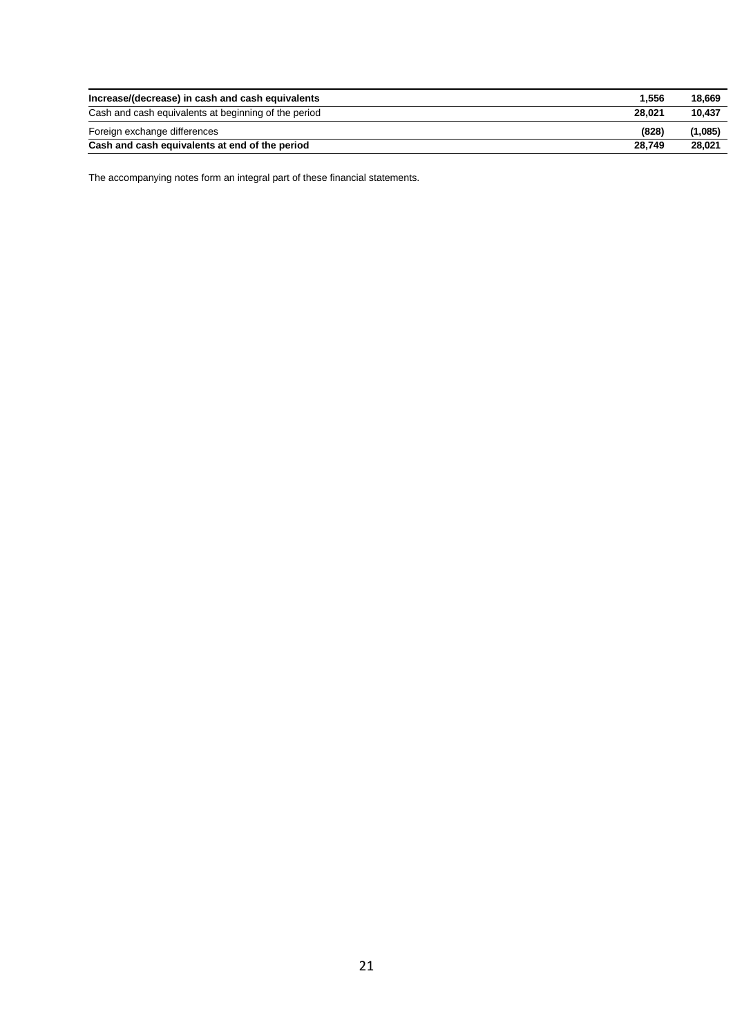| Increase/(decrease) in cash and cash equivalents     | 1.556  | 18.669  |
|------------------------------------------------------|--------|---------|
| Cash and cash equivalents at beginning of the period | 28.021 | 10.437  |
| Foreign exchange differences                         | (828)  | (1,085) |
| Cash and cash equivalents at end of the period       | 28.749 | 28.021  |

The accompanying notes form an integral part of these financial statements.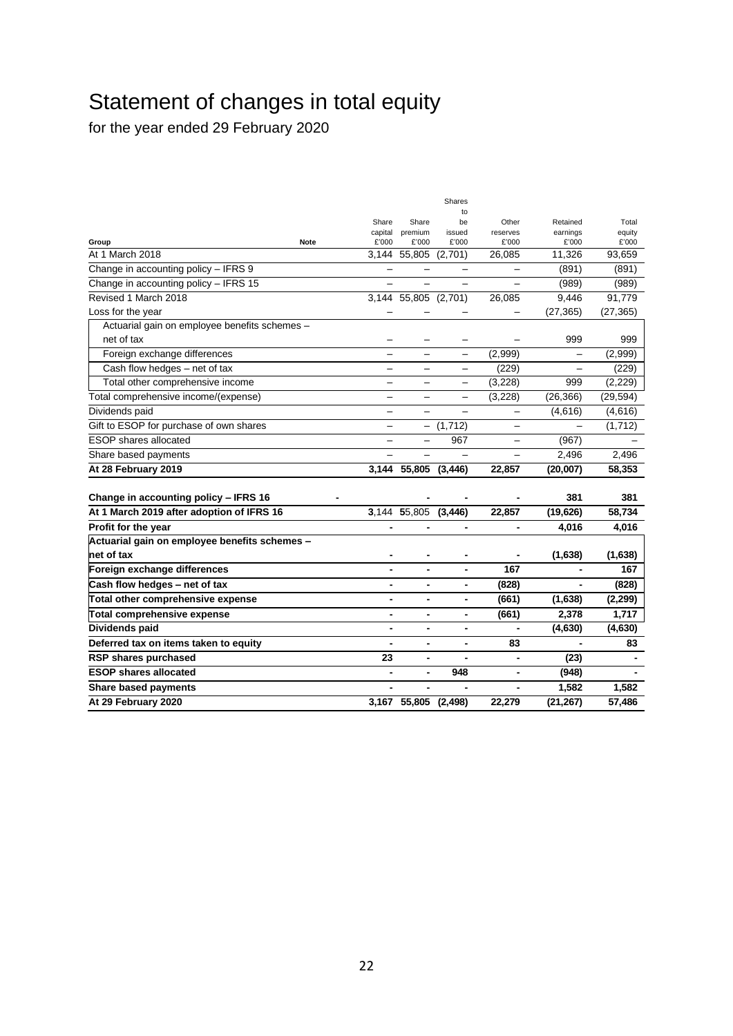# Statement of changes in total equity

for the year ended 29 February 2020

|                                               |                          |                          | Shares                   |                              |                          |           |
|-----------------------------------------------|--------------------------|--------------------------|--------------------------|------------------------------|--------------------------|-----------|
|                                               | Share                    | Share                    | to<br>be                 | Other                        | Retained                 | Total     |
|                                               | capital                  | premium                  | issued                   | reserves                     | earnings                 | equity    |
| Group                                         | £'000<br><b>Note</b>     | £'000                    | £'000                    | £'000                        | £'000                    | £'000     |
| At 1 March 2018                               | 3.144                    | 55,805                   | (2,701)                  | 26,085                       | 11,326                   | 93,659    |
| Change in accounting policy - IFRS 9          |                          |                          |                          |                              | (891)                    | (891)     |
| Change in accounting policy - IFRS 15         |                          |                          |                          |                              | (989)                    | (989)     |
| Revised 1 March 2018                          | 3.144                    | 55,805 (2,701)           |                          | 26,085                       | 9,446                    | 91,779    |
| Loss for the year                             |                          |                          |                          |                              | (27, 365)                | (27, 365) |
| Actuarial gain on employee benefits schemes - |                          |                          |                          |                              |                          |           |
| net of tax                                    |                          |                          |                          |                              | 999                      | 999       |
| Foreign exchange differences                  |                          | $\overline{\phantom{0}}$ | $\overline{\phantom{0}}$ | (2,999)                      |                          | (2,999)   |
| Cash flow hedges - net of tax                 |                          |                          | $\overline{\phantom{0}}$ | (229)                        |                          | (229)     |
| Total other comprehensive income              |                          |                          |                          | (3, 228)                     | 999                      | (2,229)   |
| Total comprehensive income/(expense)          |                          | $\overline{\phantom{0}}$ |                          | (3, 228)                     | (26, 366)                | (29, 594) |
| Dividends paid                                | $\overline{\phantom{0}}$ | $\overline{\phantom{0}}$ |                          | $\overline{\phantom{0}}$     | (4,616)                  | (4,616)   |
| Gift to ESOP for purchase of own shares       | —                        | $\overline{\phantom{0}}$ | (1, 712)                 | —                            |                          | (1,712)   |
| <b>ESOP</b> shares allocated                  |                          | $\overline{\phantom{0}}$ | 967                      |                              | (967)                    |           |
| Share based payments                          |                          |                          |                          |                              | 2,496                    | 2,496     |
| At 28 February 2019                           | 3,144                    | 55,805                   | (3, 446)                 | 22,857                       | (20,007)                 | 58,353    |
|                                               |                          |                          |                          |                              |                          |           |
| Change in accounting policy - IFRS 16         |                          |                          |                          |                              | 381                      | 381       |
| At 1 March 2019 after adoption of IFRS 16     |                          | 3,144 55,805             | (3, 446)                 | 22,857                       | (19, 626)                | 58,734    |
| Profit for the year                           | $\overline{a}$           | ٠                        | $\blacksquare$           | $\blacksquare$               | 4,016                    | 4,016     |
| Actuarial gain on employee benefits schemes - |                          |                          |                          |                              |                          |           |
| net of tax                                    |                          | ٠                        |                          |                              | (1,638)                  | (1,638)   |
| Foreign exchange differences                  | $\blacksquare$           | $\blacksquare$           | $\blacksquare$           | 167                          | $\overline{\phantom{0}}$ | 167       |
| Cash flow hedges - net of tax                 | $\blacksquare$           | $\blacksquare$           | $\overline{\phantom{a}}$ | (828)                        |                          | (828)     |
| Total other comprehensive expense             | $\blacksquare$           | $\blacksquare$           | $\blacksquare$           | (661)                        | (1,638)                  | (2, 299)  |
| <b>Total comprehensive expense</b>            | $\blacksquare$           | $\blacksquare$           | $\overline{\phantom{a}}$ | (661)                        | 2,378                    | 1,717     |
| Dividends paid                                |                          |                          | ٠                        |                              | (4,630)                  | (4,630)   |
| Deferred tax on items taken to equity         |                          | $\blacksquare$           | Ĭ.                       | 83                           |                          | 83        |
| RSP shares purchased                          | 23                       | $\blacksquare$           | $\blacksquare$           | $\blacksquare$               | (23)                     |           |
| <b>ESOP shares allocated</b>                  | ٠                        | $\blacksquare$           | 948                      | ۰                            | (948)                    |           |
| <b>Share based payments</b>                   | ٠                        |                          |                          | $\qquad \qquad \blacksquare$ | 1,582                    | 1,582     |
| At 29 February 2020                           |                          | 3,167 55,805 (2,498)     |                          | 22,279                       | (21, 267)                | 57,486    |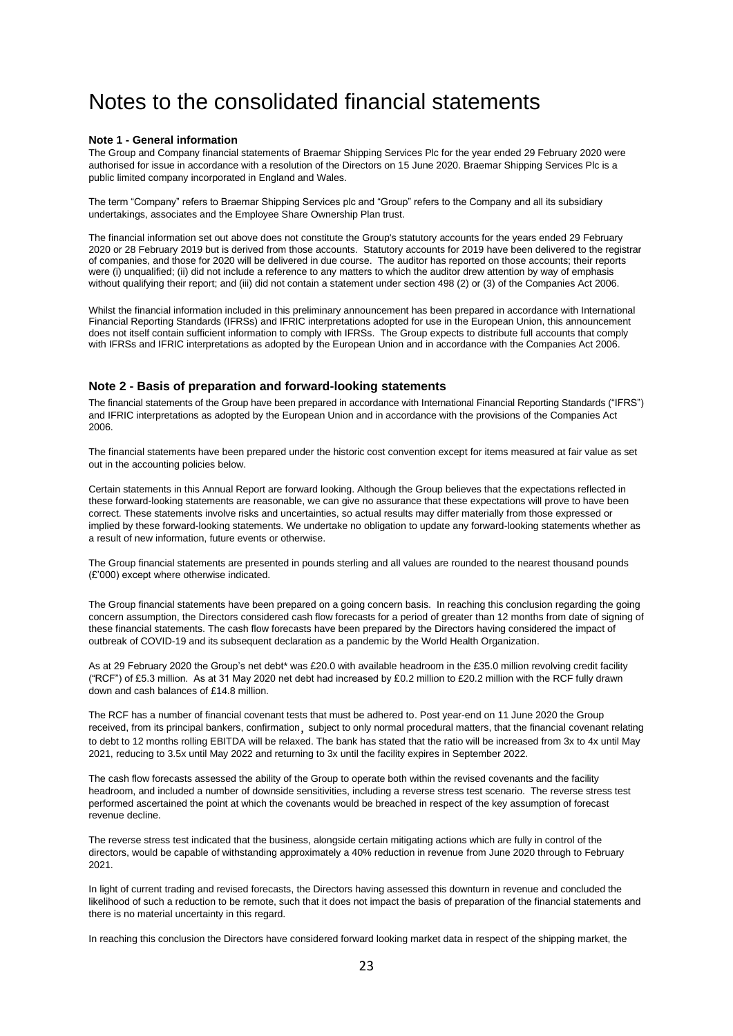# Notes to the consolidated financial statements

#### **Note 1 - General information**

The Group and Company financial statements of Braemar Shipping Services Plc for the year ended 29 February 2020 were authorised for issue in accordance with a resolution of the Directors on 15 June 2020. Braemar Shipping Services Plc is a public limited company incorporated in England and Wales.

The term "Company" refers to Braemar Shipping Services plc and "Group" refers to the Company and all its subsidiary undertakings, associates and the Employee Share Ownership Plan trust.

The financial information set out above does not constitute the Group's statutory accounts for the years ended 29 February 2020 or 28 February 2019 but is derived from those accounts. Statutory accounts for 2019 have been delivered to the registrar of companies, and those for 2020 will be delivered in due course. The auditor has reported on those accounts; their reports were (i) unqualified; (ii) did not include a reference to any matters to which the auditor drew attention by way of emphasis without qualifying their report; and (iii) did not contain a statement under section 498 (2) or (3) of the Companies Act 2006.

Whilst the financial information included in this preliminary announcement has been prepared in accordance with International Financial Reporting Standards (IFRSs) and IFRIC interpretations adopted for use in the European Union, this announcement does not itself contain sufficient information to comply with IFRSs. The Group expects to distribute full accounts that comply with IFRSs and IFRIC interpretations as adopted by the European Union and in accordance with the Companies Act 2006.

#### **Note 2 - Basis of preparation and forward-looking statements**

The financial statements of the Group have been prepared in accordance with International Financial Reporting Standards ("IFRS") and IFRIC interpretations as adopted by the European Union and in accordance with the provisions of the Companies Act 2006.

The financial statements have been prepared under the historic cost convention except for items measured at fair value as set out in the accounting policies below.

Certain statements in this Annual Report are forward looking. Although the Group believes that the expectations reflected in these forward-looking statements are reasonable, we can give no assurance that these expectations will prove to have been correct. These statements involve risks and uncertainties, so actual results may differ materially from those expressed or implied by these forward-looking statements. We undertake no obligation to update any forward-looking statements whether as a result of new information, future events or otherwise.

The Group financial statements are presented in pounds sterling and all values are rounded to the nearest thousand pounds (£'000) except where otherwise indicated.

The Group financial statements have been prepared on a going concern basis. In reaching this conclusion regarding the going concern assumption, the Directors considered cash flow forecasts for a period of greater than 12 months from date of signing of these financial statements. The cash flow forecasts have been prepared by the Directors having considered the impact of outbreak of COVID-19 and its subsequent declaration as a pandemic by the World Health Organization.

As at 29 February 2020 the Group's net debt\* was £20.0 with available headroom in the £35.0 million revolving credit facility ("RCF") of £5.3 million. As at 31 May 2020 net debt had increased by £0.2 million to £20.2 million with the RCF fully drawn down and cash balances of £14.8 million.

The RCF has a number of financial covenant tests that must be adhered to. Post year-end on 11 June 2020 the Group received, from its principal bankers, confirmation, subject to only normal procedural matters, that the financial covenant relating to debt to 12 months rolling EBITDA will be relaxed. The bank has stated that the ratio will be increased from 3x to 4x until May 2021, reducing to 3.5x until May 2022 and returning to 3x until the facility expires in September 2022.

The cash flow forecasts assessed the ability of the Group to operate both within the revised covenants and the facility headroom, and included a number of downside sensitivities, including a reverse stress test scenario. The reverse stress test performed ascertained the point at which the covenants would be breached in respect of the key assumption of forecast revenue decline.

The reverse stress test indicated that the business, alongside certain mitigating actions which are fully in control of the directors, would be capable of withstanding approximately a 40% reduction in revenue from June 2020 through to February 2021.

In light of current trading and revised forecasts, the Directors having assessed this downturn in revenue and concluded the likelihood of such a reduction to be remote, such that it does not impact the basis of preparation of the financial statements and there is no material uncertainty in this regard.

In reaching this conclusion the Directors have considered forward looking market data in respect of the shipping market, the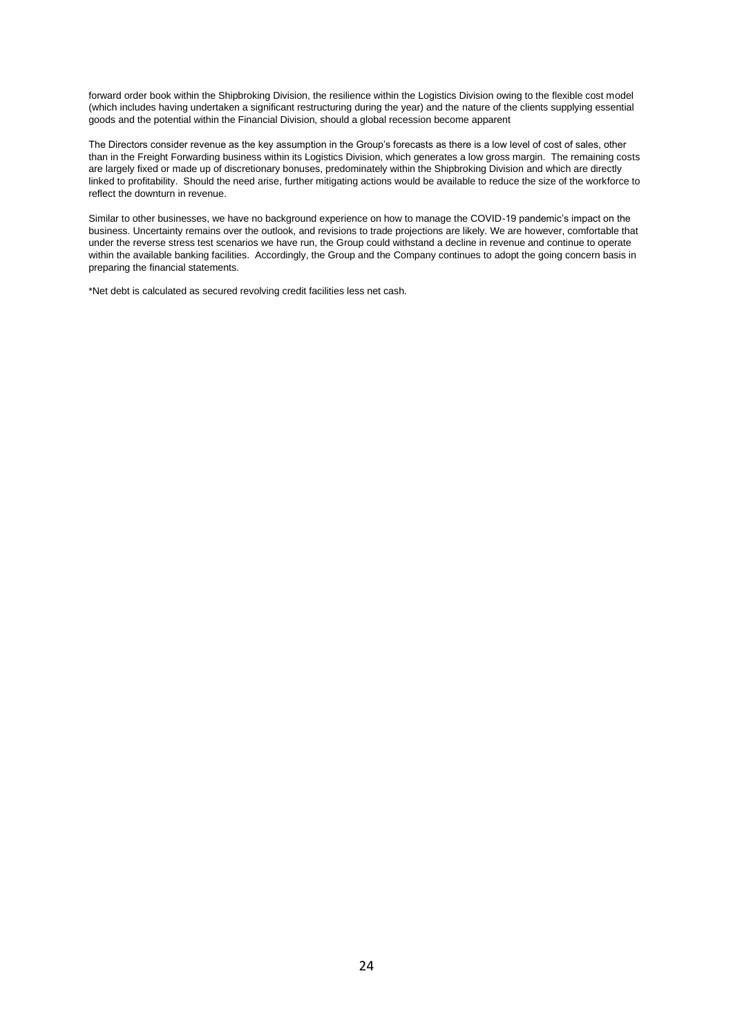forward order book within the Shipbroking Division, the resilience within the Logistics Division owing to the flexible cost model (which includes having undertaken a significant restructuring during the year) and the nature of the clients supplying essential goods and the potential within the Financial Division, should a global recession become apparent

The Directors consider revenue as the key assumption in the Group's forecasts as there is a low level of cost of sales, other than in the Freight Forwarding business within its Logistics Division, which generates a low gross margin. The remaining costs are largely fixed or made up of discretionary bonuses, predominately within the Shipbroking Division and which are directly linked to profitability. Should the need arise, further mitigating actions would be available to reduce the size of the workforce to reflect the downturn in revenue.

Similar to other businesses, we have no background experience on how to manage the COVID-19 pandemic's impact on the business. Uncertainty remains over the outlook, and revisions to trade projections are likely. We are however, comfortable that under the reverse stress test scenarios we have run, the Group could withstand a decline in revenue and continue to operate within the available banking facilities. Accordingly, the Group and the Company continues to adopt the going concern basis in preparing the financial statements.

\*Net debt is calculated as secured revolving credit facilities less net cash.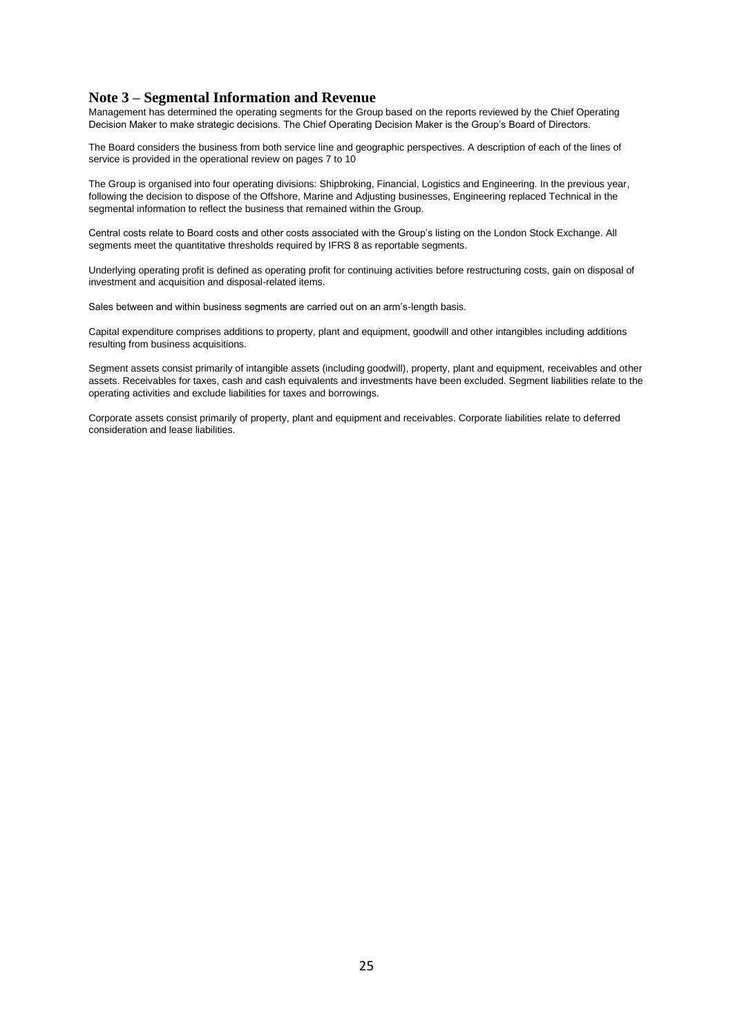### **Note 3 – Segmental Information and Revenue**

Management has determined the operating segments for the Group based on the reports reviewed by the Chief Operating Decision Maker to make strategic decisions. The Chief Operating Decision Maker is the Group's Board of Directors.

The Board considers the business from both service line and geographic perspectives. A description of each of the lines of service is provided in the operational review on pages 7 to 10

The Group is organised into four operating divisions: Shipbroking, Financial, Logistics and Engineering. In the previous year, following the decision to dispose of the Offshore, Marine and Adjusting businesses, Engineering replaced Technical in the segmental information to reflect the business that remained within the Group.

Central costs relate to Board costs and other costs associated with the Group's listing on the London Stock Exchange. All segments meet the quantitative thresholds required by IFRS 8 as reportable segments.

Underlying operating profit is defined as operating profit for continuing activities before restructuring costs, gain on disposal of investment and acquisition and disposal-related items.

Sales between and within business segments are carried out on an arm's-length basis.

Capital expenditure comprises additions to property, plant and equipment, goodwill and other intangibles including additions resulting from business acquisitions.

Segment assets consist primarily of intangible assets (including goodwill), property, plant and equipment, receivables and other assets. Receivables for taxes, cash and cash equivalents and investments have been excluded. Segment liabilities relate to the operating activities and exclude liabilities for taxes and borrowings.

Corporate assets consist primarily of property, plant and equipment and receivables. Corporate liabilities relate to deferred consideration and lease liabilities.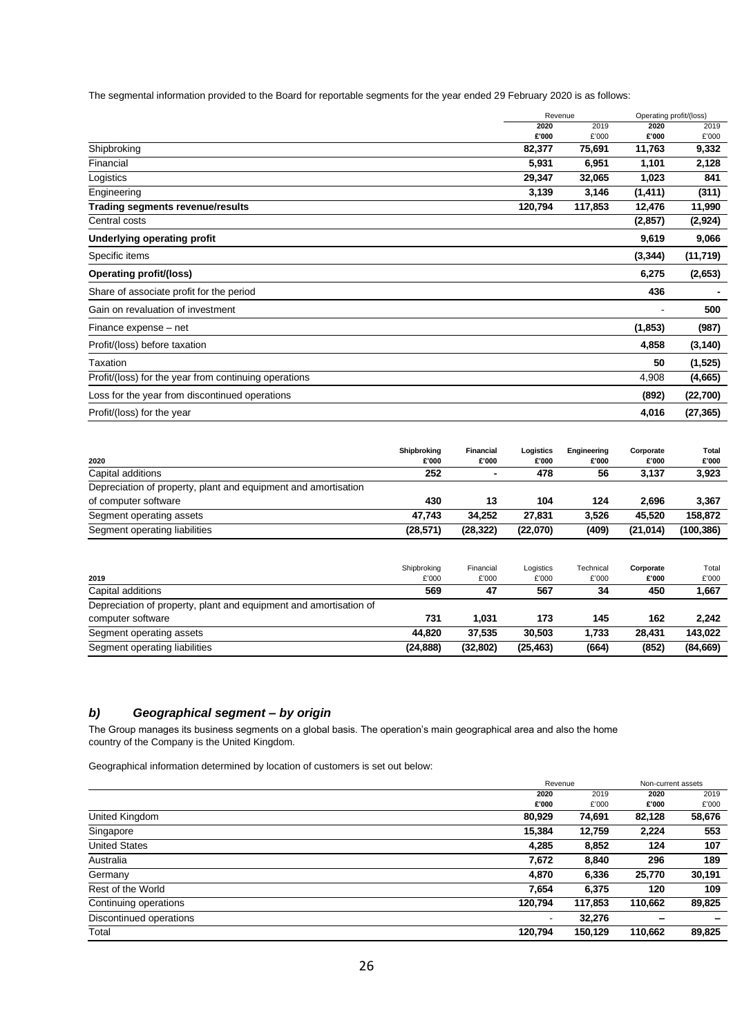The segmental information provided to the Board for reportable segments for the year ended 29 February 2020 is as follows:

|                                                       | Revenue | Operating profit/(loss) |          |           |
|-------------------------------------------------------|---------|-------------------------|----------|-----------|
|                                                       | 2020    | 2019                    | 2020     | 2019      |
|                                                       | £'000   | £'000                   | £'000    | £'000     |
| Shipbroking                                           | 82,377  | 75,691                  | 11,763   | 9,332     |
| Financial                                             | 5,931   | 6,951                   | 1,101    | 2,128     |
| Logistics                                             | 29,347  | 32,065                  | 1,023    | 841       |
| Engineering                                           | 3,139   | 3,146                   | (1, 411) | (311)     |
| Trading segments revenue/results                      | 120,794 | 117,853                 | 12,476   | 11,990    |
| Central costs                                         |         |                         | (2, 857) | (2,924)   |
| Underlying operating profit                           |         |                         | 9,619    | 9,066     |
| Specific items                                        |         |                         | (3, 344) | (11, 719) |
| Operating profit/(loss)                               |         |                         | 6,275    | (2,653)   |
| Share of associate profit for the period              |         |                         | 436      |           |
| Gain on revaluation of investment                     |         |                         |          | 500       |
| Finance expense – net                                 |         |                         | (1, 853) | (987)     |
| Profit/(loss) before taxation                         |         |                         | 4,858    | (3, 140)  |
| Taxation                                              |         |                         | 50       | (1, 525)  |
| Profit/(loss) for the year from continuing operations |         |                         | 4,908    | (4,665)   |
| Loss for the year from discontinued operations        |         |                         | (892)    | (22,700)  |
| Profit/(loss) for the year                            |         |                         | 4,016    | (27, 365) |

|                                                                | Shipbroking | <b>Financial</b> | Logistics | Engineering | Corporate | Total      |
|----------------------------------------------------------------|-------------|------------------|-----------|-------------|-----------|------------|
| 2020                                                           | £'000       | £'000            | £'000     | £'000       | £'000     | £'000      |
| Capital additions                                              | 252         | ۰                | 478       | 56          | 3.137     | 3,923      |
| Depreciation of property, plant and equipment and amortisation |             |                  |           |             |           |            |
| of computer software                                           | 430         | 13               | 104       | 124         | 2.696     | 3,367      |
| Segment operating assets                                       | 47.743      | 34.252           | 27.831    | 3,526       | 45.520    | 158.872    |
| Segment operating liabilities                                  | (28,571)    | (28, 322)        | (22,070)  | (409)       | (21, 014) | (100, 386) |

| 2019                                                              | Shipbroking<br>£'000 | Financial<br>£'000 | Logistics<br>£'000 | Technical<br>£'000 | Corporate<br>£'000 | Total<br>£'000 |
|-------------------------------------------------------------------|----------------------|--------------------|--------------------|--------------------|--------------------|----------------|
| Capital additions                                                 | 569                  | 47                 | 567                | 34                 | 450                | 1,667          |
| Depreciation of property, plant and equipment and amortisation of |                      |                    |                    |                    |                    |                |
| computer software                                                 | 731                  | 1.031              | 173                | 145                | 162                | 2.242          |
| Segment operating assets                                          | 44.820               | 37.535             | 30.503             | 1.733              | 28.431             | 143.022        |
| Segment operating liabilities                                     | (24, 888)            | (32, 802)          | (25, 463)          | (664)              | (852)              | (84, 669)      |

### *b) Geographical segment – by origin*

The Group manages its business segments on a global basis. The operation's main geographical area and also the home country of the Company is the United Kingdom.

Geographical information determined by location of customers is set out below:

|                         | Revenue                  |         |         | Non-current assets |
|-------------------------|--------------------------|---------|---------|--------------------|
|                         | 2020                     | 2019    | 2020    | 2019               |
|                         | £'000                    | £'000   | £'000   | £'000              |
| United Kingdom          | 80,929                   | 74,691  | 82,128  | 58,676             |
| Singapore               | 15,384                   | 12,759  | 2,224   | 553                |
| <b>United States</b>    | 4,285                    | 8,852   | 124     | 107                |
| Australia               | 7,672                    | 8,840   | 296     | 189                |
| Germany                 | 4,870                    | 6,336   | 25,770  | 30,191             |
| Rest of the World       | 7,654                    | 6,375   | 120     | 109                |
| Continuing operations   | 120,794                  | 117,853 | 110,662 | 89,825             |
| Discontinued operations | $\overline{\phantom{a}}$ | 32,276  |         | -                  |
| Total                   | 120.794                  | 150,129 | 110,662 | 89,825             |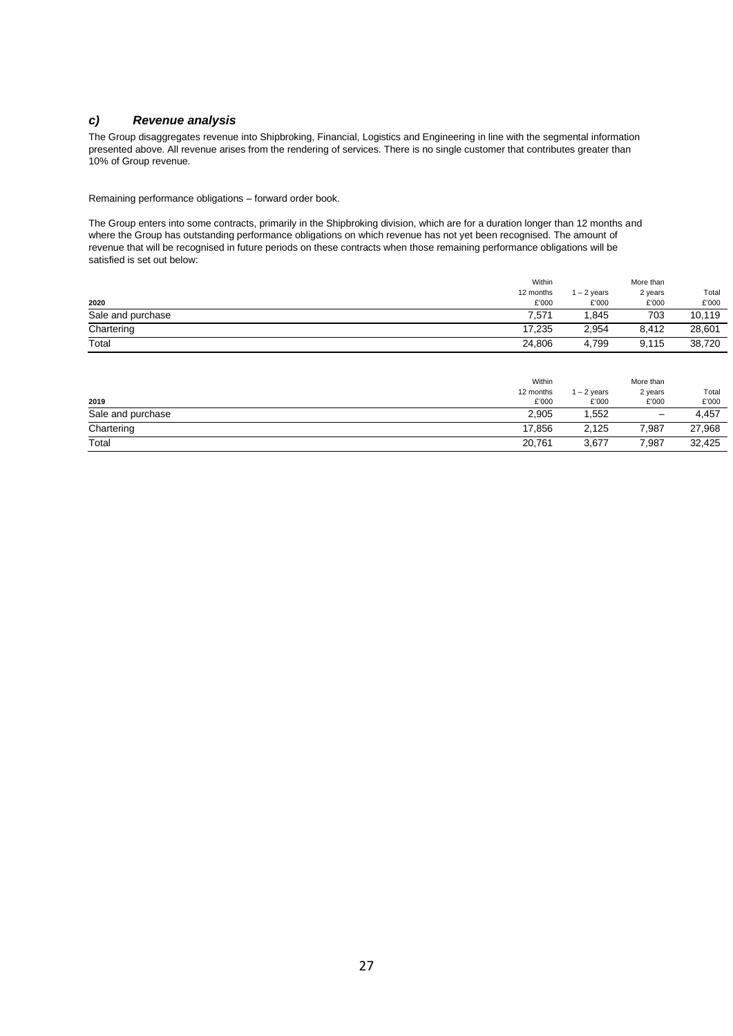### *c) Revenue analysis*

The Group disaggregates revenue into Shipbroking, Financial, Logistics and Engineering in line with the segmental information presented above. All revenue arises from the rendering of services. There is no single customer that contributes greater than 10% of Group revenue.

Remaining performance obligations – forward order book.

The Group enters into some contracts, primarily in the Shipbroking division, which are for a duration longer than 12 months and where the Group has outstanding performance obligations on which revenue has not yet been recognised. The amount of revenue that will be recognised in future periods on these contracts when those remaining performance obligations will be satisfied is set out below:

|                   | Within    |               | More than |        |
|-------------------|-----------|---------------|-----------|--------|
|                   | 12 months | $1 - 2$ years | 2 years   | Total  |
| 2020              | £'000     | £'000         | £'000     | £'000  |
| Sale and purchase | 7.571     | .845          | 703       | 10,119 |
| Chartering        | 17.235    | 2,954         | 8.412     | 28,601 |
| Total             | 24,806    | 4.799         | 9.115     | 38,720 |

|                   | Within    |            | More than         |        |
|-------------------|-----------|------------|-------------------|--------|
|                   | 12 months | $-2$ years | 2 years           | Total  |
| 2019              | £'000     | £'000      | £'000             | £'000  |
| Sale and purchase | 2,905     | .552       | $\qquad \qquad -$ | 4,457  |
| Chartering        | 17,856    | 2,125      | 7,987             | 27,968 |
| Total             | 20,761    | 3,677      | 7,987             | 32,425 |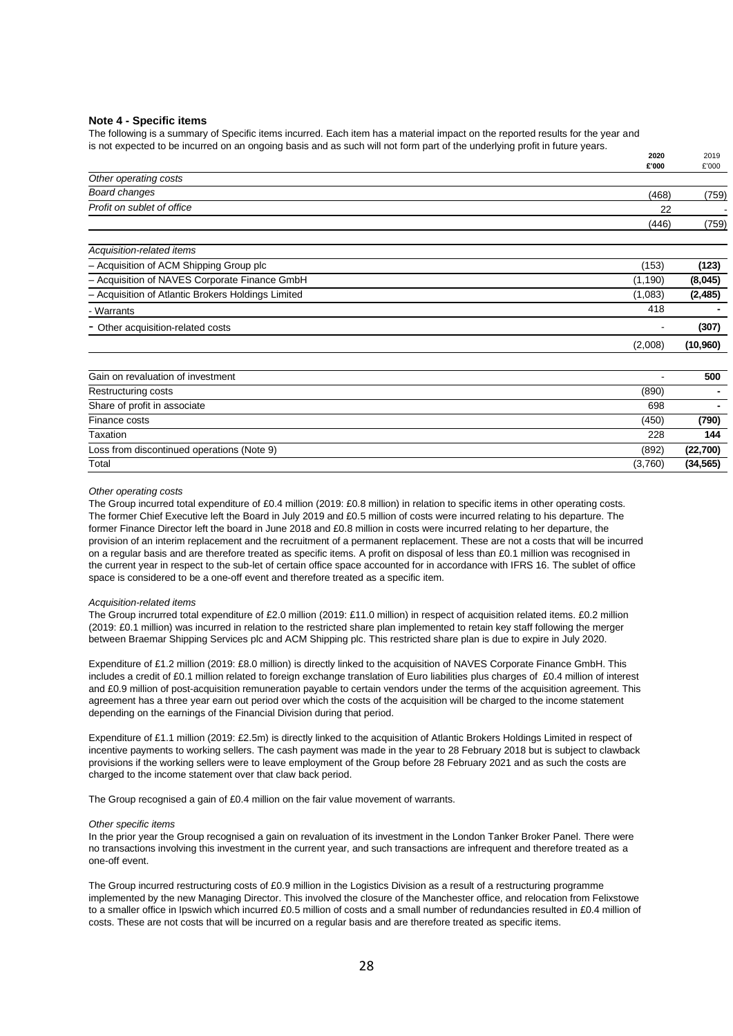#### **Note 4 - Specific items**

The following is a summary of Specific items incurred. Each item has a material impact on the reported results for the year and is not expected to be incurred on an ongoing basis and as such will not form part of the underlying profit in future years.

|                                                    | 2020<br>£'000 | 2019<br>£'000 |
|----------------------------------------------------|---------------|---------------|
| Other operating costs                              |               |               |
| <b>Board changes</b>                               | (468)         | (759)         |
| Profit on sublet of office                         | 22            |               |
|                                                    | (446)         | (759)         |
| Acquisition-related items                          |               |               |
| - Acquisition of ACM Shipping Group plc            | (153)         | (123)         |
| - Acquisition of NAVES Corporate Finance GmbH      | (1, 190)      | (8,045)       |
| - Acquisition of Atlantic Brokers Holdings Limited | (1,083)       | (2, 485)      |
| - Warrants                                         | 418           |               |
| - Other acquisition-related costs                  |               | (307)         |
|                                                    | (2,008)       | (10,960)      |
| Gain on revaluation of investment                  |               | 500           |
| Restructuring costs                                | (890)         |               |
| Share of profit in associate                       | 698           |               |
| Finance costs                                      | (450)         | (790)         |
| Taxation                                           | 228           | 144           |
| Loss from discontinued operations (Note 9)         | (892)         | (22,700)      |
| Total                                              | (3,760)       | (34, 565)     |

#### *Other operating costs*

The Group incurred total expenditure of £0.4 million (2019: £0.8 million) in relation to specific items in other operating costs. The former Chief Executive left the Board in July 2019 and £0.5 million of costs were incurred relating to his departure. The former Finance Director left the board in June 2018 and £0.8 million in costs were incurred relating to her departure, the provision of an interim replacement and the recruitment of a permanent replacement. These are not a costs that will be incurred on a regular basis and are therefore treated as specific items. A profit on disposal of less than £0.1 million was recognised in the current year in respect to the sub-let of certain office space accounted for in accordance with IFRS 16. The sublet of office space is considered to be a one-off event and therefore treated as a specific item.

#### *Acquisition-related items*

The Group incrurred total expenditure of £2.0 million (2019: £11.0 million) in respect of acquisition related items. £0.2 million (2019: £0.1 million) was incurred in relation to the restricted share plan implemented to retain key staff following the merger between Braemar Shipping Services plc and ACM Shipping plc. This restricted share plan is due to expire in July 2020.

Expenditure of £1.2 million (2019: £8.0 million) is directly linked to the acquisition of NAVES Corporate Finance GmbH. This includes a credit of £0.1 million related to foreign exchange translation of Euro liabilities plus charges of £0.4 million of interest and £0.9 million of post-acquisition remuneration payable to certain vendors under the terms of the acquisition agreement. This agreement has a three year earn out period over which the costs of the acquisition will be charged to the income statement depending on the earnings of the Financial Division during that period.

Expenditure of £1.1 million (2019: £2.5m) is directly linked to the acquisition of Atlantic Brokers Holdings Limited in respect of incentive payments to working sellers. The cash payment was made in the year to 28 February 2018 but is subject to clawback provisions if the working sellers were to leave employment of the Group before 28 February 2021 and as such the costs are charged to the income statement over that claw back period.

The Group recognised a gain of £0.4 million on the fair value movement of warrants.

#### *Other specific items*

In the prior year the Group recognised a gain on revaluation of its investment in the London Tanker Broker Panel. There were no transactions involving this investment in the current year, and such transactions are infrequent and therefore treated as a one-off event.

The Group incurred restructuring costs of £0.9 million in the Logistics Division as a result of a restructuring programme implemented by the new Managing Director. This involved the closure of the Manchester office, and relocation from Felixstowe to a smaller office in Ipswich which incurred £0.5 million of costs and a small number of redundancies resulted in £0.4 million of costs. These are not costs that will be incurred on a regular basis and are therefore treated as specific items.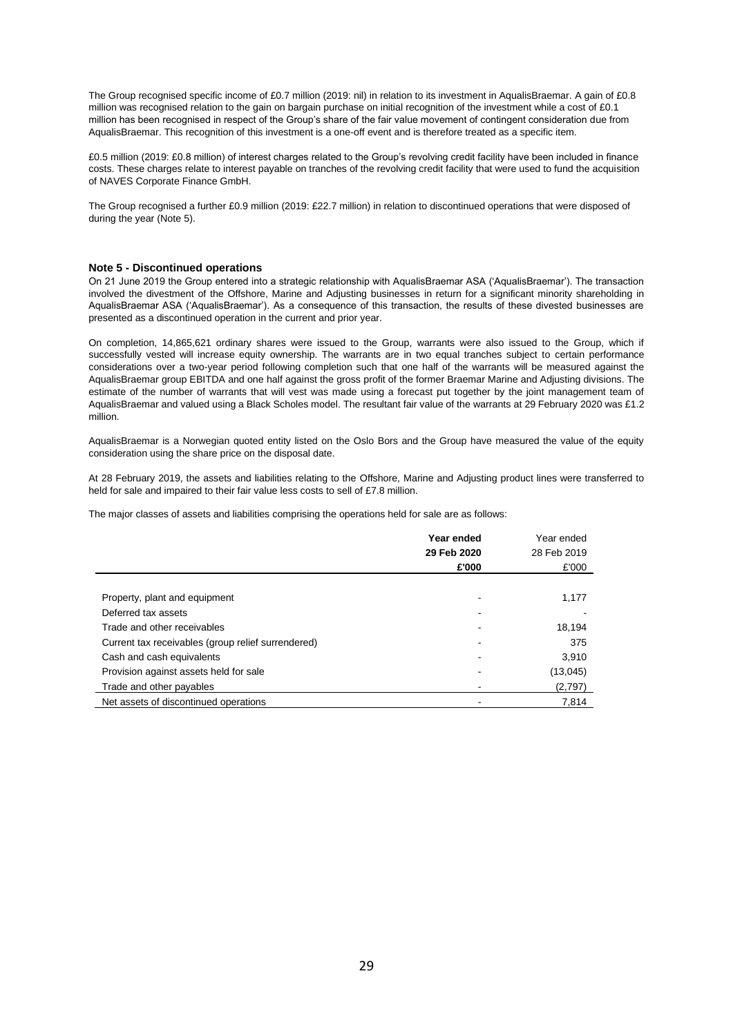The Group recognised specific income of £0.7 million (2019: nil) in relation to its investment in AqualisBraemar. A gain of £0.8 million was recognised relation to the gain on bargain purchase on initial recognition of the investment while a cost of £0.1 million has been recognised in respect of the Group's share of the fair value movement of contingent consideration due from AqualisBraemar. This recognition of this investment is a one-off event and is therefore treated as a specific item.

£0.5 million (2019: £0.8 million) of interest charges related to the Group's revolving credit facility have been included in finance costs. These charges relate to interest payable on tranches of the revolving credit facility that were used to fund the acquisition of NAVES Corporate Finance GmbH.

The Group recognised a further £0.9 million (2019: £22.7 million) in relation to discontinued operations that were disposed of during the year (Note 5).

#### **Note 5 - Discontinued operations**

On 21 June 2019 the Group entered into a strategic relationship with AqualisBraemar ASA ('AqualisBraemar'). The transaction involved the divestment of the Offshore, Marine and Adjusting businesses in return for a significant minority shareholding in AqualisBraemar ASA ('AqualisBraemar'). As a consequence of this transaction, the results of these divested businesses are presented as a discontinued operation in the current and prior year.

On completion, 14,865,621 ordinary shares were issued to the Group, warrants were also issued to the Group, which if successfully vested will increase equity ownership. The warrants are in two equal tranches subject to certain performance considerations over a two-year period following completion such that one half of the warrants will be measured against the AqualisBraemar group EBITDA and one half against the gross profit of the former Braemar Marine and Adjusting divisions. The estimate of the number of warrants that will vest was made using a forecast put together by the joint management team of AqualisBraemar and valued using a Black Scholes model. The resultant fair value of the warrants at 29 February 2020 was £1.2 million.

AqualisBraemar is a Norwegian quoted entity listed on the Oslo Bors and the Group have measured the value of the equity consideration using the share price on the disposal date.

At 28 February 2019, the assets and liabilities relating to the Offshore, Marine and Adjusting product lines were transferred to held for sale and impaired to their fair value less costs to sell of £7.8 million.

The major classes of assets and liabilities comprising the operations held for sale are as follows:

|                                                    | Year ended  | Year ended  |
|----------------------------------------------------|-------------|-------------|
|                                                    | 29 Feb 2020 | 28 Feb 2019 |
|                                                    | £'000       | £'000       |
|                                                    |             |             |
| Property, plant and equipment                      |             | 1,177       |
| Deferred tax assets                                |             |             |
| Trade and other receivables                        |             | 18,194      |
| Current tax receivables (group relief surrendered) |             | 375         |
| Cash and cash equivalents                          |             | 3,910       |
| Provision against assets held for sale             |             | (13,045)    |
| Trade and other payables                           |             | (2,797)     |
| Net assets of discontinued operations              |             | 7,814       |
|                                                    |             |             |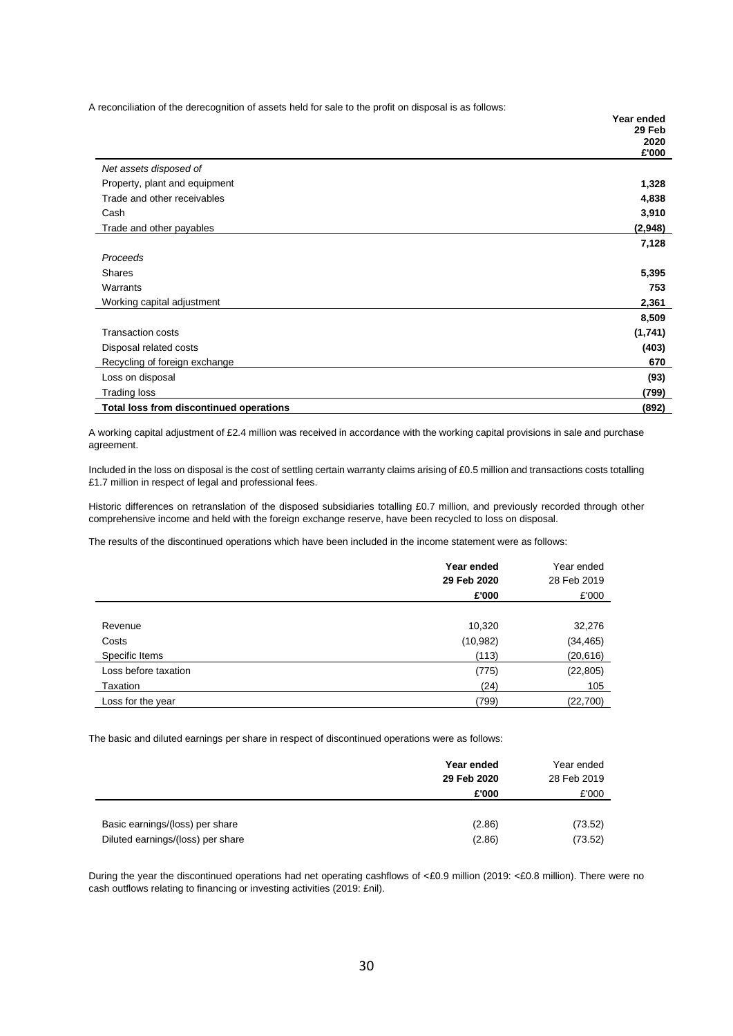A reconciliation of the derecognition of assets held for sale to the profit on disposal is as follows:

|                                                | Year ended    |
|------------------------------------------------|---------------|
|                                                | 29 Feb        |
|                                                | 2020<br>£'000 |
| Net assets disposed of                         |               |
| Property, plant and equipment                  | 1,328         |
| Trade and other receivables                    | 4,838         |
| Cash                                           | 3,910         |
| Trade and other payables                       | (2,948)       |
|                                                | 7,128         |
| Proceeds                                       |               |
| <b>Shares</b>                                  | 5,395         |
| Warrants                                       | 753           |
| Working capital adjustment                     | 2,361         |
|                                                | 8,509         |
| <b>Transaction costs</b>                       | (1,741)       |
| Disposal related costs                         | (403)         |
| Recycling of foreign exchange                  | 670           |
| Loss on disposal                               | (93)          |
| Trading loss                                   | (799)         |
| <b>Total loss from discontinued operations</b> | (892)         |

A working capital adjustment of £2.4 million was received in accordance with the working capital provisions in sale and purchase agreement.

Included in the loss on disposal is the cost of settling certain warranty claims arising of £0.5 million and transactions costs totalling £1.7 million in respect of legal and professional fees.

Historic differences on retranslation of the disposed subsidiaries totalling £0.7 million, and previously recorded through other comprehensive income and held with the foreign exchange reserve, have been recycled to loss on disposal.

The results of the discontinued operations which have been included in the income statement were as follows:

|                      | Year ended<br>29 Feb 2020 | Year ended<br>28 Feb 2019 |
|----------------------|---------------------------|---------------------------|
|                      | £'000                     | £'000                     |
|                      |                           |                           |
| Revenue              | 10,320                    | 32,276                    |
| Costs                | (10, 982)                 | (34, 465)                 |
| Specific Items       | (113)                     | (20, 616)                 |
| Loss before taxation | (775)                     | (22, 805)                 |
| Taxation             | (24)                      | 105                       |
| Loss for the year    | (799)                     | (22,700)                  |

The basic and diluted earnings per share in respect of discontinued operations were as follows:

|                                   | Year ended<br>29 Feb 2020 | Year ended<br>28 Feb 2019 |
|-----------------------------------|---------------------------|---------------------------|
|                                   | £'000                     | £'000                     |
|                                   |                           |                           |
| Basic earnings/(loss) per share   | (2.86)                    | (73.52)                   |
| Diluted earnings/(loss) per share | (2.86)                    | (73.52)                   |

During the year the discontinued operations had net operating cashflows of <£0.9 million (2019: <£0.8 million). There were no cash outflows relating to financing or investing activities (2019: £nil).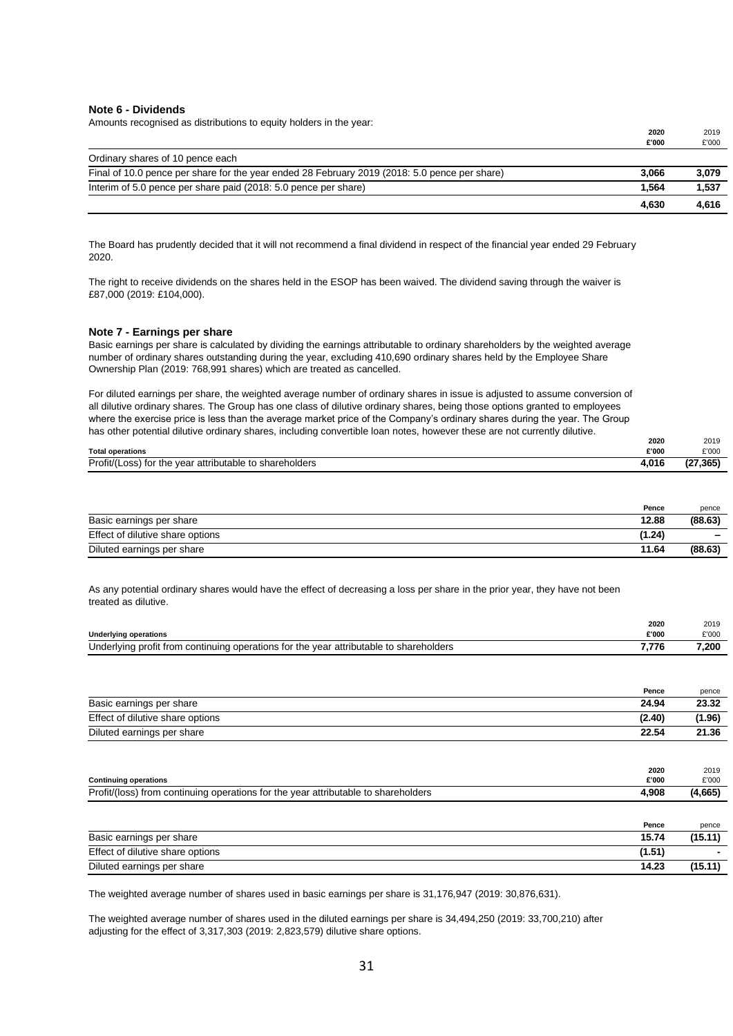#### **Note 6 - Dividends**

Amounts recognised as distributions to equity holders in the year:

|                                                                                               | 2020  | 2019  |
|-----------------------------------------------------------------------------------------------|-------|-------|
|                                                                                               | £'000 | £'000 |
| Ordinary shares of 10 pence each                                                              |       |       |
| Final of 10.0 pence per share for the year ended 28 February 2019 (2018: 5.0 pence per share) | 3.066 | 3,079 |
| Interim of 5.0 pence per share paid (2018: 5.0 pence per share)                               | 1.564 | 1,537 |
|                                                                                               | 4.630 | 4.616 |

The Board has prudently decided that it will not recommend a final dividend in respect of the financial year ended 29 February 2020.

The right to receive dividends on the shares held in the ESOP has been waived. The dividend saving through the waiver is £87,000 (2019: £104,000).

#### **Note 7 - Earnings per share**

Basic earnings per share is calculated by dividing the earnings attributable to ordinary shareholders by the weighted average number of ordinary shares outstanding during the year, excluding 410,690 ordinary shares held by the Employee Share Ownership Plan (2019: 768,991 shares) which are treated as cancelled.

For diluted earnings per share, the weighted average number of ordinary shares in issue is adjusted to assume conversion of all dilutive ordinary shares. The Group has one class of dilutive ordinary shares, being those options granted to employees where the exercise price is less than the average market price of the Company's ordinary shares during the year. The Group has other potential dilutive ordinary shares, including convertible loan notes, however these are not currently dilutive.

|                                                         | 2020  | 2019      |
|---------------------------------------------------------|-------|-----------|
| <b>Total operations</b>                                 | £'000 | £'000     |
| Profit/(Loss) for the year attributable to shareholders | 4,016 | (27, 365) |

|                                  | Pence  | pence   |
|----------------------------------|--------|---------|
| Basic earnings per share         | 12.88  | (88.63) |
| Effect of dilutive share options | (1.24) | -       |
| Diluted earnings per share       | 11.64  | (88.63) |

As any potential ordinary shares would have the effect of decreasing a loss per share in the prior year, they have not been treated as dilutive.

|                                                                                             | 2020  | 2019  |
|---------------------------------------------------------------------------------------------|-------|-------|
| <b>Underlying operations</b>                                                                | £'000 | £'000 |
| Underlying profit from<br>ו continuing operations for the vear attributable to shareholders |       | 7.200 |

|                                  | Pence          | pence         |
|----------------------------------|----------------|---------------|
| Basic earnings per share         | 24.94          | 23.32         |
| Effect of dilutive share options | (2.40)         | (1.96)        |
| Diluted earnings per share       | 22.54          | 21.36         |
|                                  |                |               |
| .                                | 2020<br>------ | 2019<br>----- |

| <b>Continuing operations</b>                                                                            | £'000 | £'000   |
|---------------------------------------------------------------------------------------------------------|-------|---------|
| Profit/<br>attributable to shareholders."<br>∵the vear<br>) from continuina.<br>operations for<br>(loss | 4,908 | (4,665) |
|                                                                                                         |       |         |

|                                  | Pence  | pence   |
|----------------------------------|--------|---------|
| Basic earnings per share         | 15.74  | (15.11) |
| Effect of dilutive share options | (1.51) |         |
| Diluted earnings per share       | 14.23  | (15.11  |

The weighted average number of shares used in basic earnings per share is 31,176,947 (2019: 30,876,631).

The weighted average number of shares used in the diluted earnings per share is 34,494,250 (2019: 33,700,210) after adjusting for the effect of 3,317,303 (2019: 2,823,579) dilutive share options.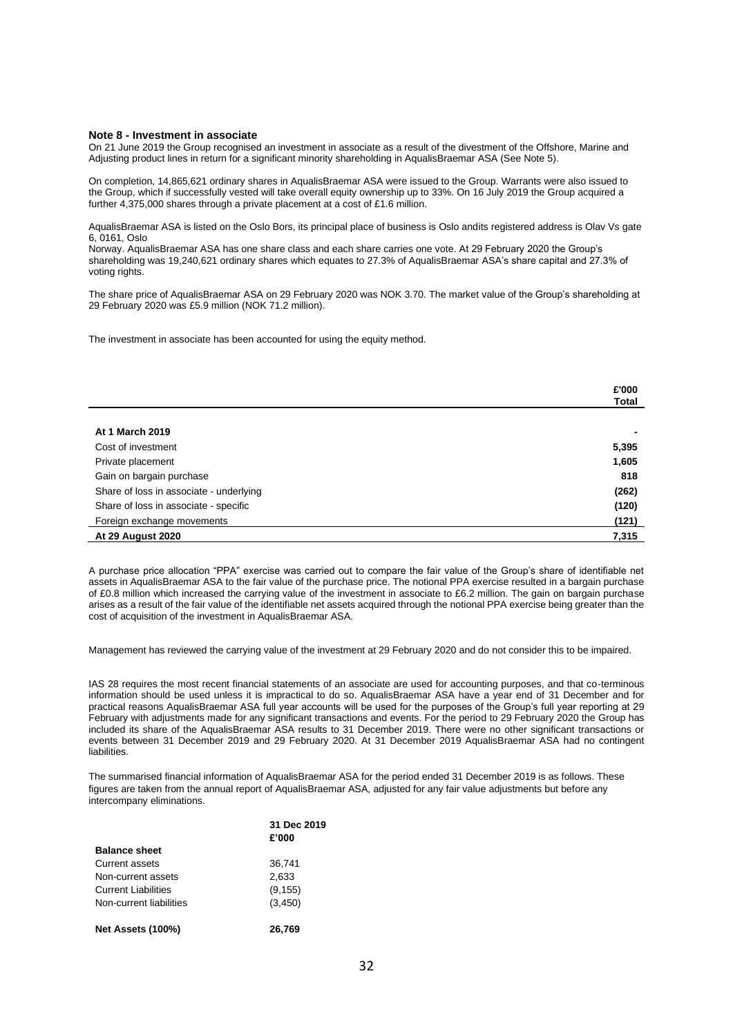#### **Note 8 - Investment in associate**

On 21 June 2019 the Group recognised an investment in associate as a result of the divestment of the Offshore, Marine and Adjusting product lines in return for a significant minority shareholding in AqualisBraemar ASA (See Note 5).

On completion, 14,865,621 ordinary shares in AqualisBraemar ASA were issued to the Group. Warrants were also issued to the Group, which if successfully vested will take overall equity ownership up to 33%. On 16 July 2019 the Group acquired a further 4,375,000 shares through a private placement at a cost of £1.6 million.

AqualisBraemar ASA is listed on the Oslo Bors, its principal place of business is Oslo andits registered address is Olav Vs gate 6, 0161, Oslo

Norway. AqualisBraemar ASA has one share class and each share carries one vote. At 29 February 2020 the Group's shareholding was 19,240,621 ordinary shares which equates to 27.3% of AqualisBraemar ASA's share capital and 27.3% of voting rights.

The share price of AqualisBraemar ASA on 29 February 2020 was NOK 3.70. The market value of the Group's shareholding at 29 February 2020 was £5.9 million (NOK 71.2 million).

The investment in associate has been accounted for using the equity method.

|                                         | £'000 |
|-----------------------------------------|-------|
|                                         | Total |
|                                         |       |
| <b>At 1 March 2019</b>                  |       |
| Cost of investment                      | 5,395 |
| Private placement                       | 1,605 |
| Gain on bargain purchase                | 818   |
| Share of loss in associate - underlying | (262) |
| Share of loss in associate - specific   | (120) |
| Foreign exchange movements              | (121) |
| <b>At 29 August 2020</b>                | 7,315 |

A purchase price allocation "PPA" exercise was carried out to compare the fair value of the Group's share of identifiable net assets in AqualisBraemar ASA to the fair value of the purchase price. The notional PPA exercise resulted in a bargain purchase of £0.8 million which increased the carrying value of the investment in associate to £6.2 million. The gain on bargain purchase arises as a result of the fair value of the identifiable net assets acquired through the notional PPA exercise being greater than the cost of acquisition of the investment in AqualisBraemar ASA.

Management has reviewed the carrying value of the investment at 29 February 2020 and do not consider this to be impaired.

IAS 28 requires the most recent financial statements of an associate are used for accounting purposes, and that co-terminous information should be used unless it is impractical to do so. AqualisBraemar ASA have a year end of 31 December and for practical reasons AqualisBraemar ASA full year accounts will be used for the purposes of the Group's full year reporting at 29 February with adjustments made for any significant transactions and events. For the period to 29 February 2020 the Group has included its share of the AqualisBraemar ASA results to 31 December 2019. There were no other significant transactions or events between 31 December 2019 and 29 February 2020. At 31 December 2019 AqualisBraemar ASA had no contingent liabilities.

The summarised financial information of AqualisBraemar ASA for the period ended 31 December 2019 is as follows. These figures are taken from the annual report of AqualisBraemar ASA, adjusted for any fair value adjustments but before any intercompany eliminations.

|                            | 31 Dec 2019<br>£'000 |
|----------------------------|----------------------|
| <b>Balance sheet</b>       |                      |
| Current assets             | 36.741               |
| Non-current assets         | 2,633                |
| <b>Current Liabilities</b> | (9, 155)             |
| Non-current liabilities    | (3, 450)             |
| <b>Net Assets (100%)</b>   | 26.769               |